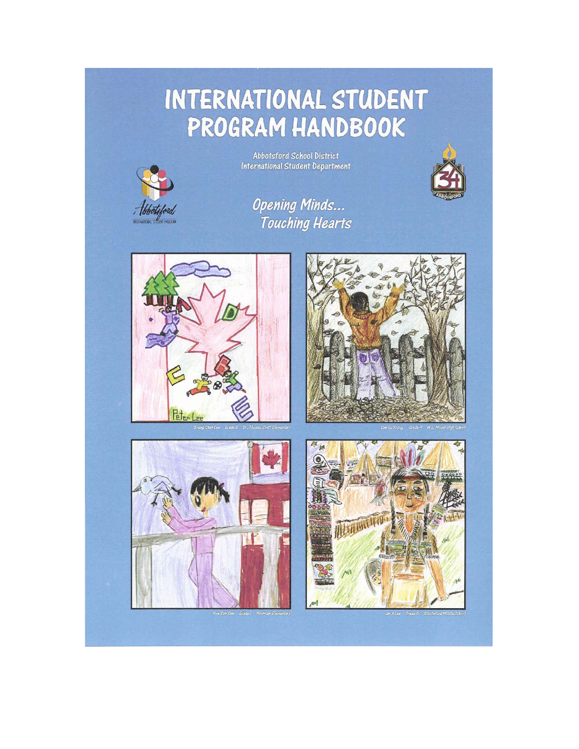# INTERNATIONAL STUDENT PROGRAM HANDBOOK



Abbotsford School District<br>International Student Department



**Opening Minds...** Touching Hearts









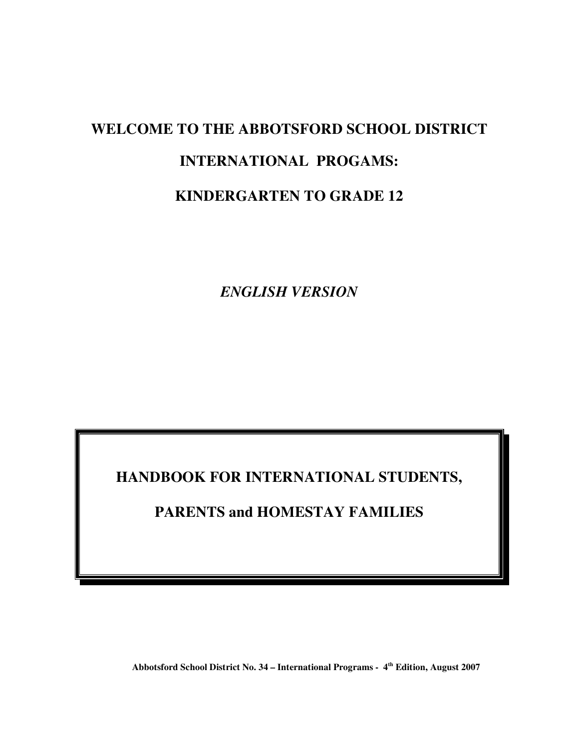# **WELCOME TO THE ABBOTSFORD SCHOOL DISTRICT INTERNATIONAL PROGAMS: KINDERGARTEN TO GRADE 12**

*ENGLISH VERSION* 

**HANDBOOK FOR INTERNATIONAL STUDENTS,** 

**PARENTS and HOMESTAY FAMILIES** 

Abbotsford School District No. 34 – International Programs - 4<sup>th</sup> Edition, August 2007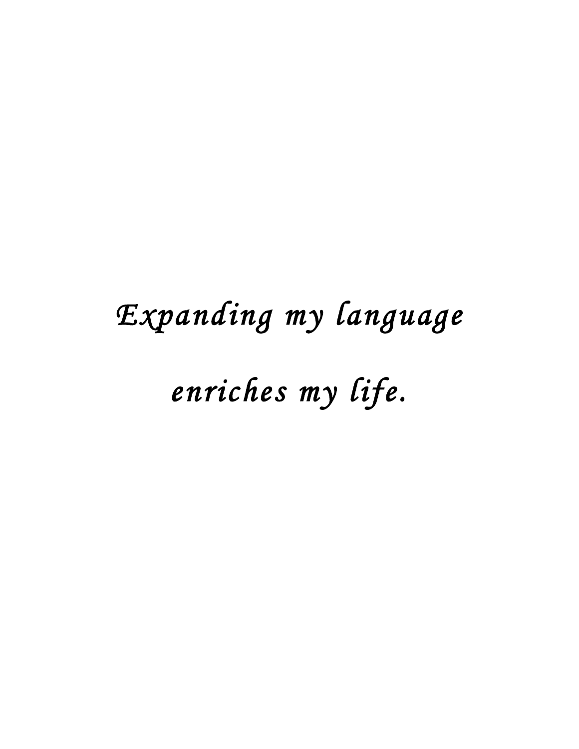# Expanding my language

enriches my life.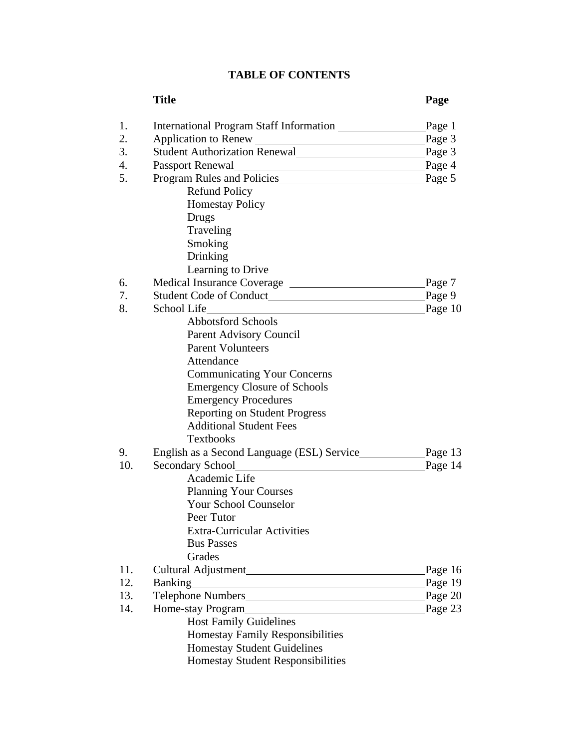# **TABLE OF CONTENTS**

|                  | <b>Title</b>                                                                                                                         | Page      |
|------------------|--------------------------------------------------------------------------------------------------------------------------------------|-----------|
| 1.               |                                                                                                                                      | Page 1    |
| 2.               |                                                                                                                                      | Page $3$  |
| 3.               | Student Authorization Renewal                                                                                                        | Page $3$  |
| $\overline{4}$ . |                                                                                                                                      | Page $4$  |
| 5.               | Program Rules and Policies Program Rules and Policies                                                                                |           |
|                  | <b>Refund Policy</b>                                                                                                                 |           |
|                  | <b>Homestay Policy</b>                                                                                                               |           |
|                  | Drugs                                                                                                                                |           |
|                  | Traveling                                                                                                                            |           |
|                  | Smoking                                                                                                                              |           |
|                  | Drinking                                                                                                                             |           |
|                  | Learning to Drive                                                                                                                    |           |
| 6.               |                                                                                                                                      | Page $7$  |
| 7.               |                                                                                                                                      | Page $9$  |
| 8.               | School Life<br><u> 1989 - Johann Harry Harry Harry Harry Harry Harry Harry Harry Harry Harry Harry Harry Harry Harry Harry Harry</u> | Page 10   |
|                  | <b>Abbotsford Schools</b>                                                                                                            |           |
|                  | Parent Advisory Council                                                                                                              |           |
|                  | <b>Parent Volunteers</b>                                                                                                             |           |
|                  | Attendance                                                                                                                           |           |
|                  | <b>Communicating Your Concerns</b>                                                                                                   |           |
|                  | <b>Emergency Closure of Schools</b>                                                                                                  |           |
|                  | <b>Emergency Procedures</b>                                                                                                          |           |
|                  | <b>Reporting on Student Progress</b>                                                                                                 |           |
|                  | <b>Additional Student Fees</b>                                                                                                       |           |
|                  | <b>Textbooks</b>                                                                                                                     |           |
| 9.               |                                                                                                                                      |           |
| 10.              | Secondary School<br><u>Secondary School</u>                                                                                          | Page 14   |
|                  | Academic Life                                                                                                                        |           |
|                  | <b>Planning Your Courses</b>                                                                                                         |           |
|                  | <b>Your School Counselor</b>                                                                                                         |           |
|                  | Peer Tutor                                                                                                                           |           |
|                  | <b>Extra-Curricular Activities</b>                                                                                                   |           |
|                  | <b>Bus Passes</b>                                                                                                                    |           |
|                  | Grades                                                                                                                               |           |
| 11.              |                                                                                                                                      | Page 16   |
| 12.              |                                                                                                                                      | Page 19   |
| 13.              |                                                                                                                                      | Page $20$ |
| 14.              | Home-stay Program                                                                                                                    | Page $23$ |
|                  | <b>Host Family Guidelines</b>                                                                                                        |           |
|                  | Homestay Family Responsibilities                                                                                                     |           |
|                  | <b>Homestay Student Guidelines</b>                                                                                                   |           |
|                  | Homestay Student Responsibilities                                                                                                    |           |
|                  |                                                                                                                                      |           |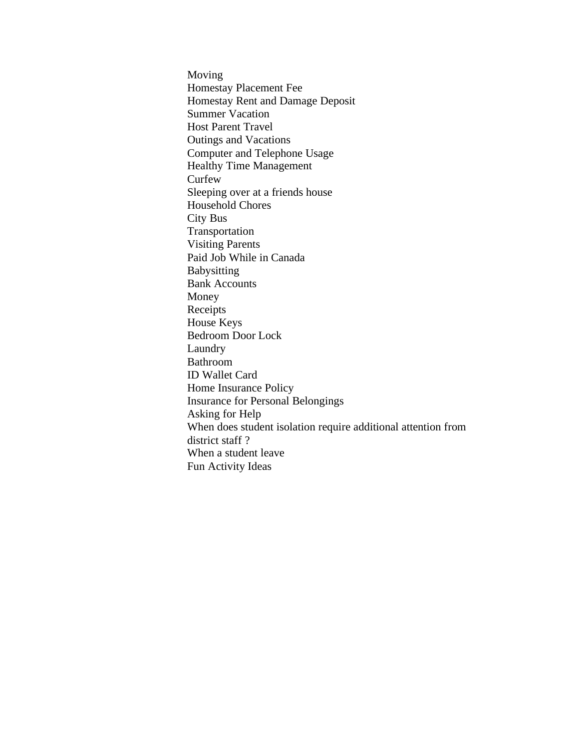Moving Homestay Placement Fee Homestay Rent and Damage Deposit Summer Vacation Host Parent Travel Outings and Vacations Computer and Telephone Usage Healthy Time Management **Curfew** Sleeping over at a friends house Household Chores City Bus Transportation Visiting Parents Paid Job While in Canada Babysitting Bank Accounts Money Receipts House Keys Bedroom Door Lock Laundry Bathroom ID Wallet Card Home Insurance Policy Insurance for Personal Belongings Asking for Help When does student isolation require additional attention from district staff ? When a student leave Fun Activity Ideas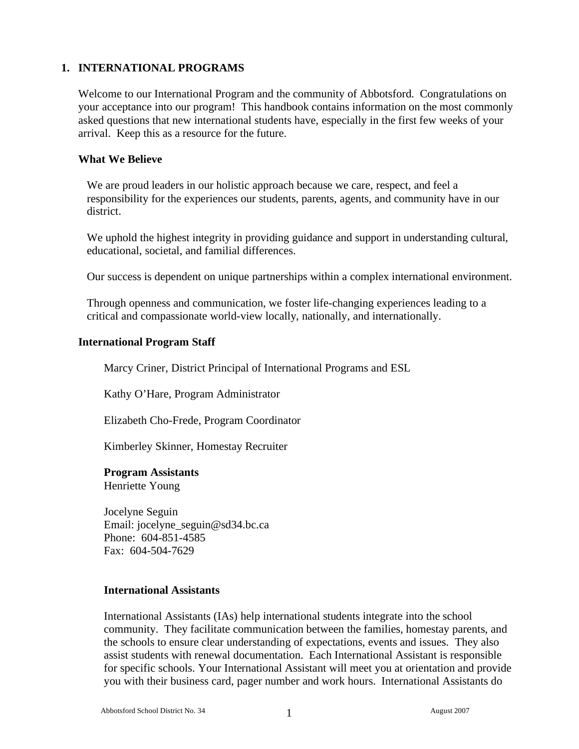# **1. INTERNATIONAL PROGRAMS**

Welcome to our International Program and the community of Abbotsford. Congratulations on your acceptance into our program! This handbook contains information on the most commonly asked questions that new international students have, especially in the first few weeks of your arrival. Keep this as a resource for the future.

#### **What We Believe**

We are proud leaders in our holistic approach because we care, respect, and feel a responsibility for the experiences our students, parents, agents, and community have in our district.

We uphold the highest integrity in providing guidance and support in understanding cultural, educational, societal, and familial differences.

Our success is dependent on unique partnerships within a complex international environment.

Through openness and communication, we foster life-changing experiences leading to a critical and compassionate world-view locally, nationally, and internationally.

#### **International Program Staff**

Marcy Criner, District Principal of International Programs and ESL

Kathy O'Hare, Program Administrator

Elizabeth Cho-Frede, Program Coordinator

Kimberley Skinner, Homestay Recruiter

#### **Program Assistants**

Henriette Young

Jocelyne Seguin Email: jocelyne\_seguin@sd34.bc.ca Phone: 604-851-4585 Fax: 604-504-7629

#### **International Assistants**

International Assistants (IAs) help international students integrate into the school community. They facilitate communication between the families, homestay parents, and the schools to ensure clear understanding of expectations, events and issues. They also assist students with renewal documentation. Each International Assistant is responsible for specific schools. Your International Assistant will meet you at orientation and provide you with their business card, pager number and work hours. International Assistants do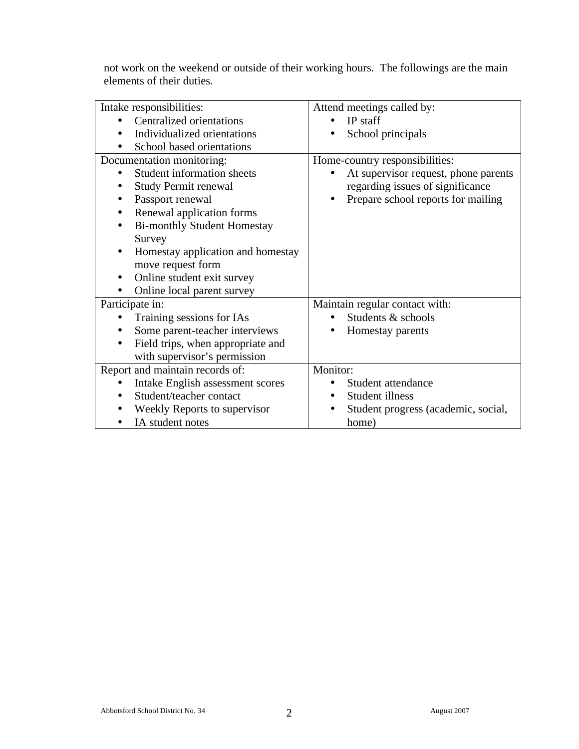not work on the weekend or outside of their working hours. The followings are the main elements of their duties.

| Intake responsibilities:               | Attend meetings called by:           |
|----------------------------------------|--------------------------------------|
| <b>Centralized orientations</b>        | IP staff                             |
| Individualized orientations            | School principals                    |
| School based orientations              |                                      |
| Documentation monitoring:              | Home-country responsibilities:       |
| <b>Student information sheets</b>      | At supervisor request, phone parents |
| <b>Study Permit renewal</b>            | regarding issues of significance     |
| Passport renewal                       | Prepare school reports for mailing   |
| Renewal application forms<br>$\bullet$ |                                      |
| <b>Bi-monthly Student Homestay</b>     |                                      |
| Survey                                 |                                      |
| Homestay application and homestay      |                                      |
| move request form                      |                                      |
| Online student exit survey             |                                      |
| Online local parent survey             |                                      |
| Participate in:                        | Maintain regular contact with:       |
| Training sessions for IAs              | Students & schools                   |
| Some parent-teacher interviews         | Homestay parents                     |
| Field trips, when appropriate and      |                                      |
| with supervisor's permission           |                                      |
| Report and maintain records of:        | Monitor:                             |
| Intake English assessment scores       | Student attendance                   |
| Student/teacher contact                | Student illness                      |
| Weekly Reports to supervisor           | Student progress (academic, social,  |
| IA student notes                       | home)                                |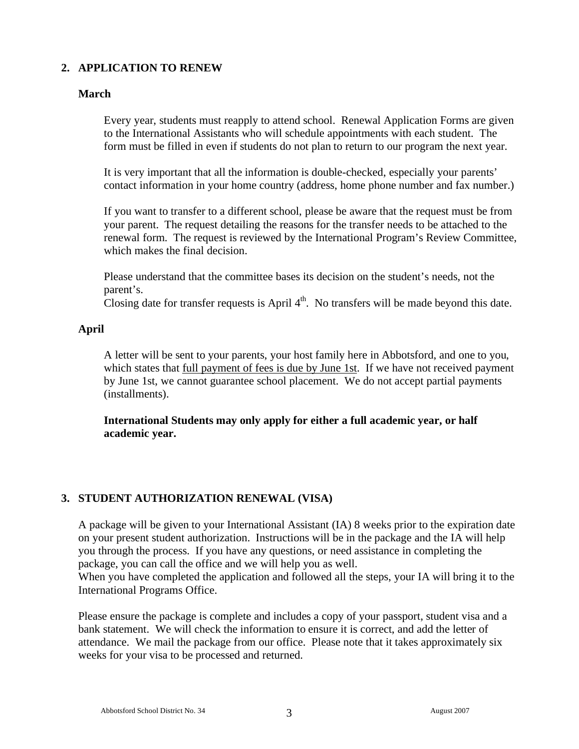# **2. APPLICATION TO RENEW**

# **March**

Every year, students must reapply to attend school. Renewal Application Forms are given to the International Assistants who will schedule appointments with each student. The form must be filled in even if students do not plan to return to our program the next year.

It is very important that all the information is double-checked, especially your parents' contact information in your home country (address, home phone number and fax number.)

If you want to transfer to a different school, please be aware that the request must be from your parent. The request detailing the reasons for the transfer needs to be attached to the renewal form. The request is reviewed by the International Program's Review Committee, which makes the final decision.

Please understand that the committee bases its decision on the student's needs, not the parent's.

Closing date for transfer requests is April  $4<sup>th</sup>$ . No transfers will be made beyond this date.

#### **April**

A letter will be sent to your parents, your host family here in Abbotsford, and one to you, which states that full payment of fees is due by June 1st. If we have not received payment by June 1st, we cannot guarantee school placement. We do not accept partial payments (installments).

**International Students may only apply for either a full academic year, or half academic year.** 

# **3. STUDENT AUTHORIZATION RENEWAL (VISA)**

A package will be given to your International Assistant (IA) 8 weeks prior to the expiration date on your present student authorization. Instructions will be in the package and the IA will help you through the process. If you have any questions, or need assistance in completing the package, you can call the office and we will help you as well.

When you have completed the application and followed all the steps, your IA will bring it to the International Programs Office.

Please ensure the package is complete and includes a copy of your passport, student visa and a bank statement. We will check the information to ensure it is correct, and add the letter of attendance. We mail the package from our office. Please note that it takes approximately six weeks for your visa to be processed and returned.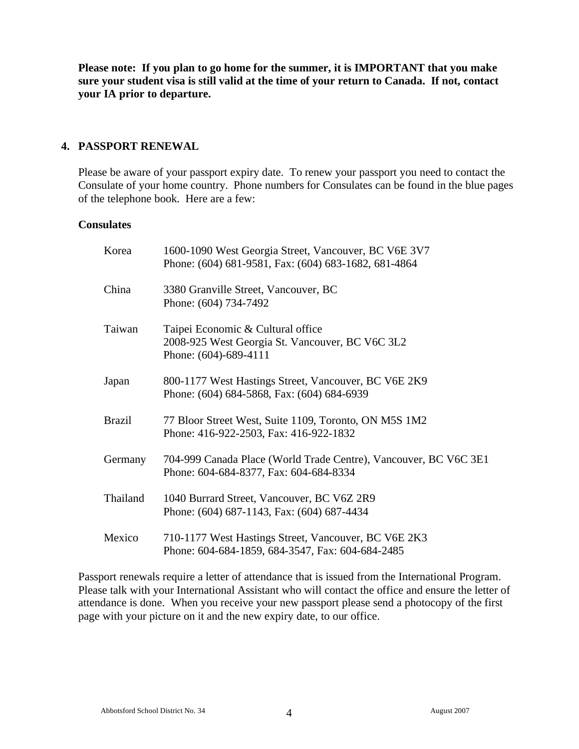**Please note: If you plan to go home for the summer, it is IMPORTANT that you make sure your student visa is still valid at the time of your return to Canada. If not, contact your IA prior to departure.** 

#### **4. PASSPORT RENEWAL**

Please be aware of your passport expiry date. To renew your passport you need to contact the Consulate of your home country. Phone numbers for Consulates can be found in the blue pages of the telephone book. Here are a few:

#### **Consulates**

| Korea         | 1600-1090 West Georgia Street, Vancouver, BC V6E 3V7<br>Phone: (604) 681-9581, Fax: (604) 683-1682, 681-4864  |
|---------------|---------------------------------------------------------------------------------------------------------------|
| China         | 3380 Granville Street, Vancouver, BC<br>Phone: (604) 734-7492                                                 |
| Taiwan        | Taipei Economic & Cultural office<br>2008-925 West Georgia St. Vancouver, BC V6C 3L2<br>Phone: (604)-689-4111 |
| Japan         | 800-1177 West Hastings Street, Vancouver, BC V6E 2K9<br>Phone: (604) 684-5868, Fax: (604) 684-6939            |
| <b>Brazil</b> | 77 Bloor Street West, Suite 1109, Toronto, ON M5S 1M2<br>Phone: 416-922-2503, Fax: 416-922-1832               |
| Germany       | 704-999 Canada Place (World Trade Centre), Vancouver, BC V6C 3E1<br>Phone: 604-684-8377, Fax: 604-684-8334    |
| Thailand      | 1040 Burrard Street, Vancouver, BC V6Z 2R9<br>Phone: (604) 687-1143, Fax: (604) 687-4434                      |
| Mexico        | 710-1177 West Hastings Street, Vancouver, BC V6E 2K3<br>Phone: 604-684-1859, 684-3547, Fax: 604-684-2485      |

Passport renewals require a letter of attendance that is issued from the International Program. Please talk with your International Assistant who will contact the office and ensure the letter of attendance is done. When you receive your new passport please send a photocopy of the first page with your picture on it and the new expiry date, to our office.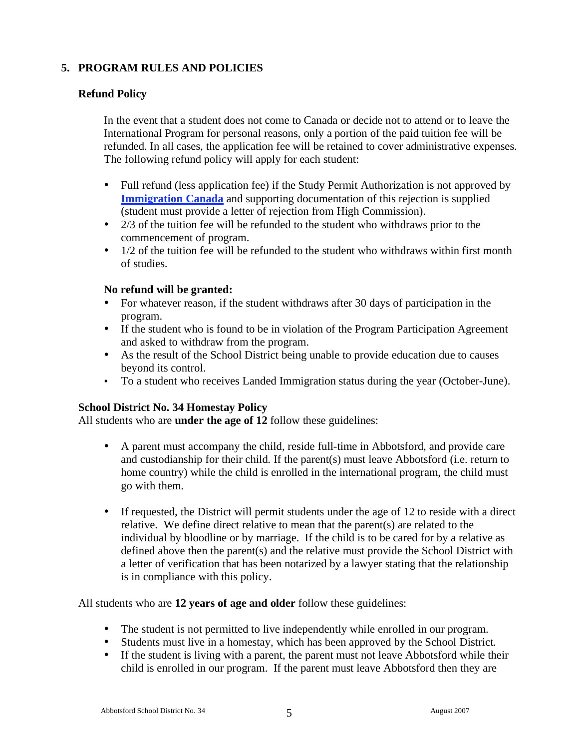# **5. PROGRAM RULES AND POLICIES**

#### **Refund Policy**

In the event that a student does not come to Canada or decide not to attend or to leave the International Program for personal reasons, only a portion of the paid tuition fee will be refunded. In all cases, the application fee will be retained to cover administrative expenses. The following refund policy will apply for each student:

- Full refund (less application fee) if the Study Permit Authorization is not approved by **Immigration Canada** and supporting documentation of this rejection is supplied (student must provide a letter of rejection from High Commission).
- 2/3 of the tuition fee will be refunded to the student who withdraws prior to the commencement of program.
- 1/2 of the tuition fee will be refunded to the student who withdraws within first month of studies.

#### **No refund will be granted:**

- For whatever reason, if the student withdraws after 30 days of participation in the program.
- If the student who is found to be in violation of the Program Participation Agreement and asked to withdraw from the program.
- As the result of the School District being unable to provide education due to causes beyond its control.
- To a student who receives Landed Immigration status during the year (October-June).

#### **School District No. 34 Homestay Policy**

All students who are **under the age of 12** follow these guidelines:

- A parent must accompany the child, reside full-time in Abbotsford, and provide care and custodianship for their child. If the parent(s) must leave Abbotsford (i.e. return to home country) while the child is enrolled in the international program, the child must go with them.
- If requested, the District will permit students under the age of 12 to reside with a direct relative. We define direct relative to mean that the parent(s) are related to the individual by bloodline or by marriage. If the child is to be cared for by a relative as defined above then the parent(s) and the relative must provide the School District with a letter of verification that has been notarized by a lawyer stating that the relationship is in compliance with this policy.

All students who are **12 years of age and older** follow these guidelines:

- The student is not permitted to live independently while enrolled in our program.
- Students must live in a homestay, which has been approved by the School District.
- If the student is living with a parent, the parent must not leave Abbotsford while their child is enrolled in our program. If the parent must leave Abbotsford then they are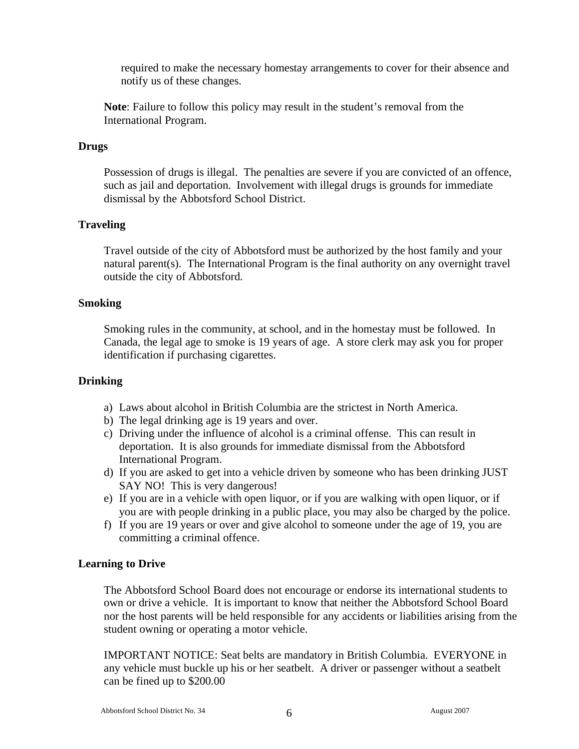required to make the necessary homestay arrangements to cover for their absence and notify us of these changes.

**Note**: Failure to follow this policy may result in the student's removal from the International Program.

#### **Drugs**

Possession of drugs is illegal. The penalties are severe if you are convicted of an offence, such as jail and deportation. Involvement with illegal drugs is grounds for immediate dismissal by the Abbotsford School District.

#### **Traveling**

Travel outside of the city of Abbotsford must be authorized by the host family and your natural parent(s). The International Program is the final authority on any overnight travel outside the city of Abbotsford.

#### **Smoking**

Smoking rules in the community, at school, and in the homestay must be followed. In Canada, the legal age to smoke is 19 years of age. A store clerk may ask you for proper identification if purchasing cigarettes.

#### **Drinking**

- a) Laws about alcohol in British Columbia are the strictest in North America.
- b) The legal drinking age is 19 years and over.
- c) Driving under the influence of alcohol is a criminal offense. This can result in deportation. It is also grounds for immediate dismissal from the Abbotsford International Program.
- d) If you are asked to get into a vehicle driven by someone who has been drinking JUST SAY NO! This is very dangerous!
- e) If you are in a vehicle with open liquor, or if you are walking with open liquor, or if you are with people drinking in a public place, you may also be charged by the police.
- f) If you are 19 years or over and give alcohol to someone under the age of 19, you are committing a criminal offence.

#### **Learning to Drive**

The Abbotsford School Board does not encourage or endorse its international students to own or drive a vehicle. It is important to know that neither the Abbotsford School Board nor the host parents will be held responsible for any accidents or liabilities arising from the student owning or operating a motor vehicle.

IMPORTANT NOTICE: Seat belts are mandatory in British Columbia. EVERYONE in any vehicle must buckle up his or her seatbelt. A driver or passenger without a seatbelt can be fined up to \$200.00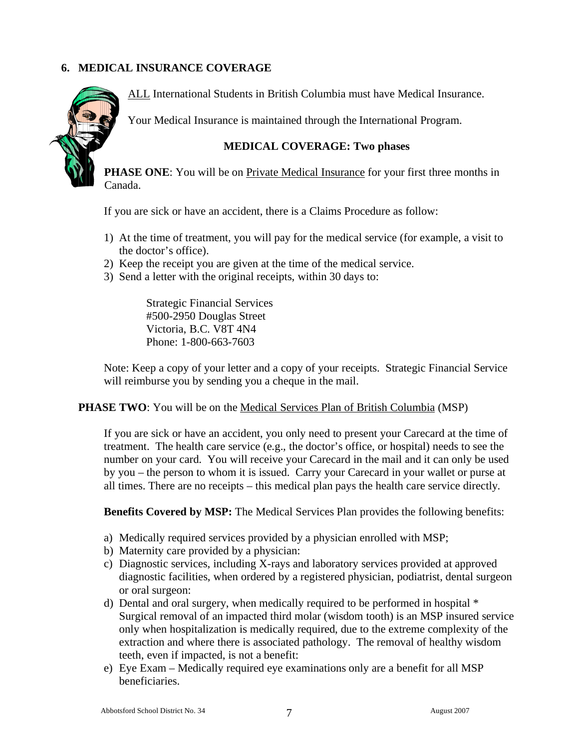# **6. MEDICAL INSURANCE COVERAGE**



ALL International Students in British Columbia must have Medical Insurance.

Your Medical Insurance is maintained through the International Program.

#### **MEDICAL COVERAGE: Two phases**

**PHASE ONE:** You will be on Private Medical Insurance for your first three months in Canada.

If you are sick or have an accident, there is a Claims Procedure as follow:

- 1) At the time of treatment, you will pay for the medical service (for example, a visit to the doctor's office).
- 2) Keep the receipt you are given at the time of the medical service.
- 3) Send a letter with the original receipts, within 30 days to:

Strategic Financial Services #500-2950 Douglas Street Victoria, B.C. V8T 4N4 Phone: 1-800-663-7603

Note: Keep a copy of your letter and a copy of your receipts. Strategic Financial Service will reimburse you by sending you a cheque in the mail.

#### **PHASE TWO**: You will be on the <u>Medical Services Plan of British Columbia</u> (MSP)

If you are sick or have an accident, you only need to present your Carecard at the time of treatment. The health care service (e.g., the doctor's office, or hospital) needs to see the number on your card. You will receive your Carecard in the mail and it can only be used by you – the person to whom it is issued. Carry your Carecard in your wallet or purse at all times. There are no receipts – this medical plan pays the health care service directly.

**Benefits Covered by MSP:** The Medical Services Plan provides the following benefits:

- a) Medically required services provided by a physician enrolled with MSP;
- b) Maternity care provided by a physician:
- c) Diagnostic services, including X-rays and laboratory services provided at approved diagnostic facilities, when ordered by a registered physician, podiatrist, dental surgeon or oral surgeon:
- d) Dental and oral surgery, when medically required to be performed in hospital \* Surgical removal of an impacted third molar (wisdom tooth) is an MSP insured service only when hospitalization is medically required, due to the extreme complexity of the extraction and where there is associated pathology. The removal of healthy wisdom teeth, even if impacted, is not a benefit:
- e) Eye Exam Medically required eye examinations only are a benefit for all MSP beneficiaries.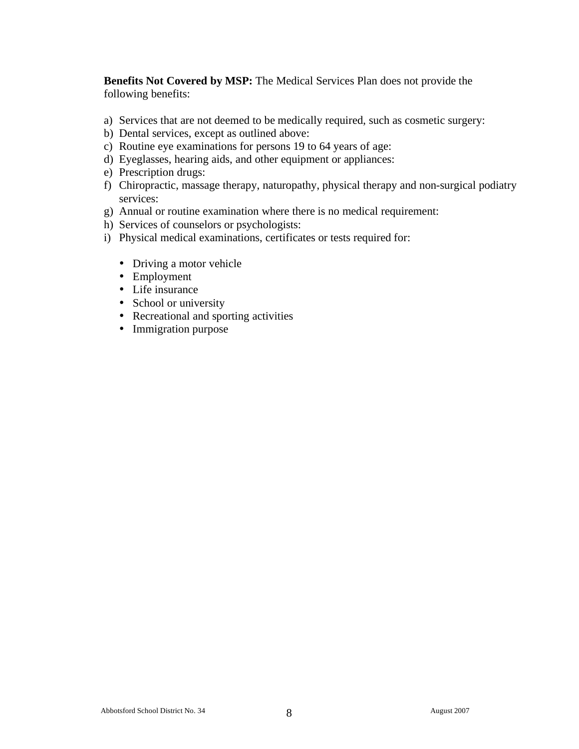**Benefits Not Covered by MSP:** The Medical Services Plan does not provide the following benefits:

- a) Services that are not deemed to be medically required, such as cosmetic surgery:
- b) Dental services, except as outlined above:
- c) Routine eye examinations for persons 19 to 64 years of age:
- d) Eyeglasses, hearing aids, and other equipment or appliances:
- e) Prescription drugs:
- f) Chiropractic, massage therapy, naturopathy, physical therapy and non-surgical podiatry services:
- g) Annual or routine examination where there is no medical requirement:
- h) Services of counselors or psychologists:
- i) Physical medical examinations, certificates or tests required for:
	- Driving a motor vehicle
	- Employment
	- Life insurance
	- School or university
	- Recreational and sporting activities
	- Immigration purpose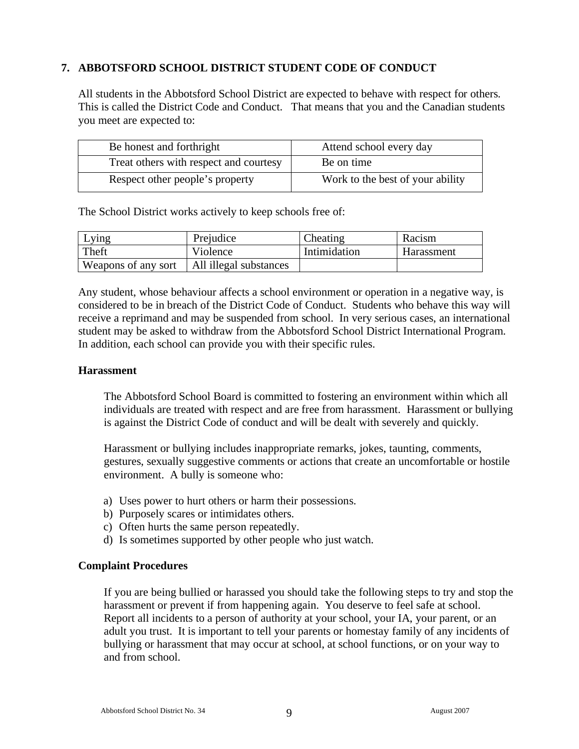# **7. ABBOTSFORD SCHOOL DISTRICT STUDENT CODE OF CONDUCT**

All students in the Abbotsford School District are expected to behave with respect for others. This is called the District Code and Conduct. That means that you and the Canadian students you meet are expected to:

| Be honest and forthright               | Attend school every day          |
|----------------------------------------|----------------------------------|
| Treat others with respect and courtesy | Be on time                       |
| Respect other people's property        | Work to the best of your ability |

The School District works actively to keep schools free of:

| Lying               | Prejudice              | Cheating     | Racism     |
|---------------------|------------------------|--------------|------------|
| Theft               | Violence               | Intimidation | Harassment |
| Weapons of any sort | All illegal substances |              |            |

Any student, whose behaviour affects a school environment or operation in a negative way, is considered to be in breach of the District Code of Conduct. Students who behave this way will receive a reprimand and may be suspended from school. In very serious cases, an international student may be asked to withdraw from the Abbotsford School District International Program. In addition, each school can provide you with their specific rules.

#### **Harassment**

The Abbotsford School Board is committed to fostering an environment within which all individuals are treated with respect and are free from harassment. Harassment or bullying is against the District Code of conduct and will be dealt with severely and quickly.

Harassment or bullying includes inappropriate remarks, jokes, taunting, comments, gestures, sexually suggestive comments or actions that create an uncomfortable or hostile environment. A bully is someone who:

- a) Uses power to hurt others or harm their possessions.
- b) Purposely scares or intimidates others.
- c) Often hurts the same person repeatedly.
- d) Is sometimes supported by other people who just watch.

#### **Complaint Procedures**

If you are being bullied or harassed you should take the following steps to try and stop the harassment or prevent if from happening again. You deserve to feel safe at school. Report all incidents to a person of authority at your school, your IA, your parent, or an adult you trust. It is important to tell your parents or homestay family of any incidents of bullying or harassment that may occur at school, at school functions, or on your way to and from school.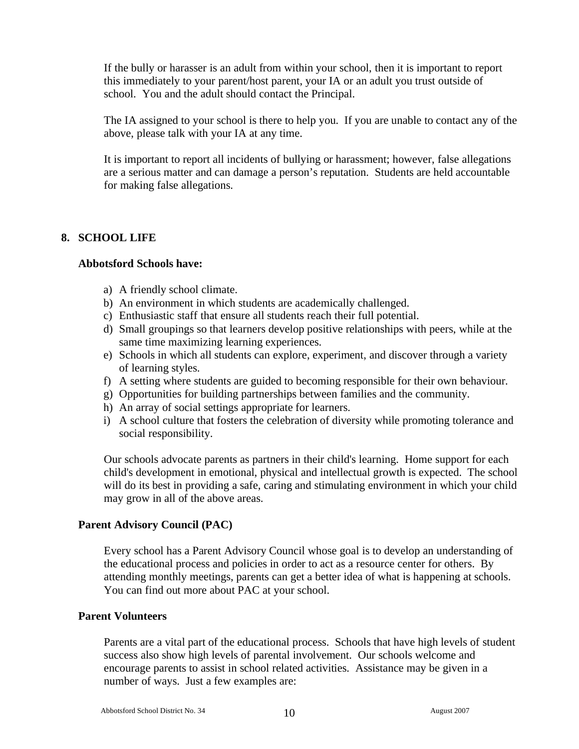If the bully or harasser is an adult from within your school, then it is important to report this immediately to your parent/host parent, your IA or an adult you trust outside of school. You and the adult should contact the Principal.

The IA assigned to your school is there to help you. If you are unable to contact any of the above, please talk with your IA at any time.

It is important to report all incidents of bullying or harassment; however, false allegations are a serious matter and can damage a person's reputation. Students are held accountable for making false allegations.

# **8. SCHOOL LIFE**

#### **Abbotsford Schools have:**

- a) A friendly school climate.
- b) An environment in which students are academically challenged.
- c) Enthusiastic staff that ensure all students reach their full potential.
- d) Small groupings so that learners develop positive relationships with peers, while at the same time maximizing learning experiences.
- e) Schools in which all students can explore, experiment, and discover through a variety of learning styles.
- f) A setting where students are guided to becoming responsible for their own behaviour.
- g) Opportunities for building partnerships between families and the community.
- h) An array of social settings appropriate for learners.
- i) A school culture that fosters the celebration of diversity while promoting tolerance and social responsibility.

Our schools advocate parents as partners in their child's learning. Home support for each child's development in emotional, physical and intellectual growth is expected. The school will do its best in providing a safe, caring and stimulating environment in which your child may grow in all of the above areas.

#### **Parent Advisory Council (PAC)**

Every school has a Parent Advisory Council whose goal is to develop an understanding of the educational process and policies in order to act as a resource center for others. By attending monthly meetings, parents can get a better idea of what is happening at schools. You can find out more about PAC at your school.

#### **Parent Volunteers**

Parents are a vital part of the educational process. Schools that have high levels of student success also show high levels of parental involvement. Our schools welcome and encourage parents to assist in school related activities. Assistance may be given in a number of ways. Just a few examples are: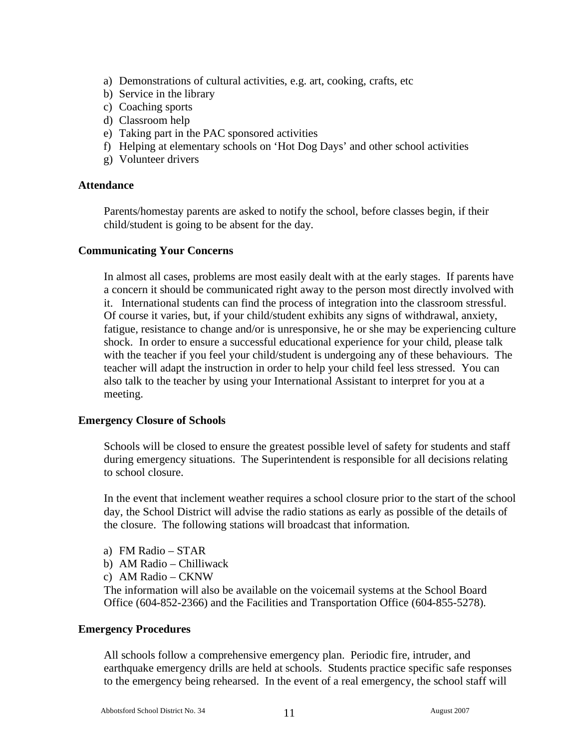- a) Demonstrations of cultural activities, e.g. art, cooking, crafts, etc
- b) Service in the library
- c) Coaching sports
- d) Classroom help
- e) Taking part in the PAC sponsored activities
- f) Helping at elementary schools on 'Hot Dog Days' and other school activities
- g) Volunteer drivers

#### **Attendance**

Parents/homestay parents are asked to notify the school, before classes begin, if their child/student is going to be absent for the day.

#### **Communicating Your Concerns**

In almost all cases, problems are most easily dealt with at the early stages. If parents have a concern it should be communicated right away to the person most directly involved with it. International students can find the process of integration into the classroom stressful. Of course it varies, but, if your child/student exhibits any signs of withdrawal, anxiety, fatigue, resistance to change and/or is unresponsive, he or she may be experiencing culture shock. In order to ensure a successful educational experience for your child, please talk with the teacher if you feel your child/student is undergoing any of these behaviours. The teacher will adapt the instruction in order to help your child feel less stressed. You can also talk to the teacher by using your International Assistant to interpret for you at a meeting.

#### **Emergency Closure of Schools**

Schools will be closed to ensure the greatest possible level of safety for students and staff during emergency situations. The Superintendent is responsible for all decisions relating to school closure.

In the event that inclement weather requires a school closure prior to the start of the school day, the School District will advise the radio stations as early as possible of the details of the closure. The following stations will broadcast that information.

- a) FM Radio STAR
- b) AM Radio Chilliwack
- c) AM Radio CKNW

The information will also be available on the voicemail systems at the School Board Office (604-852-2366) and the Facilities and Transportation Office (604-855-5278).

#### **Emergency Procedures**

All schools follow a comprehensive emergency plan. Periodic fire, intruder, and earthquake emergency drills are held at schools. Students practice specific safe responses to the emergency being rehearsed. In the event of a real emergency, the school staff will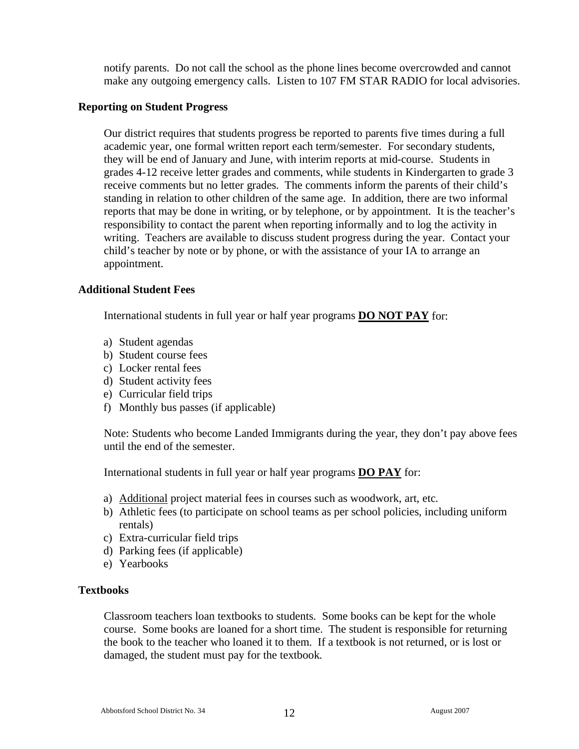notify parents. Do not call the school as the phone lines become overcrowded and cannot make any outgoing emergency calls. Listen to 107 FM STAR RADIO for local advisories.

#### **Reporting on Student Progress**

Our district requires that students progress be reported to parents five times during a full academic year, one formal written report each term/semester. For secondary students, they will be end of January and June, with interim reports at mid-course. Students in grades 4-12 receive letter grades and comments, while students in Kindergarten to grade 3 receive comments but no letter grades. The comments inform the parents of their child's standing in relation to other children of the same age. In addition, there are two informal reports that may be done in writing, or by telephone, or by appointment. It is the teacher's responsibility to contact the parent when reporting informally and to log the activity in writing. Teachers are available to discuss student progress during the year. Contact your child's teacher by note or by phone, or with the assistance of your IA to arrange an appointment.

#### **Additional Student Fees**

International students in full year or half year programs **DO NOT PAY** for:

- a) Student agendas
- b) Student course fees
- c) Locker rental fees
- d) Student activity fees
- e) Curricular field trips
- f) Monthly bus passes (if applicable)

Note: Students who become Landed Immigrants during the year, they don't pay above fees until the end of the semester.

International students in full year or half year programs **DO PAY** for:

- a) Additional project material fees in courses such as woodwork, art, etc.
- b) Athletic fees (to participate on school teams as per school policies, including uniform rentals)
- c) Extra-curricular field trips
- d) Parking fees (if applicable)
- e) Yearbooks

#### **Textbooks**

Classroom teachers loan textbooks to students. Some books can be kept for the whole course. Some books are loaned for a short time. The student is responsible for returning the book to the teacher who loaned it to them. If a textbook is not returned, or is lost or damaged, the student must pay for the textbook.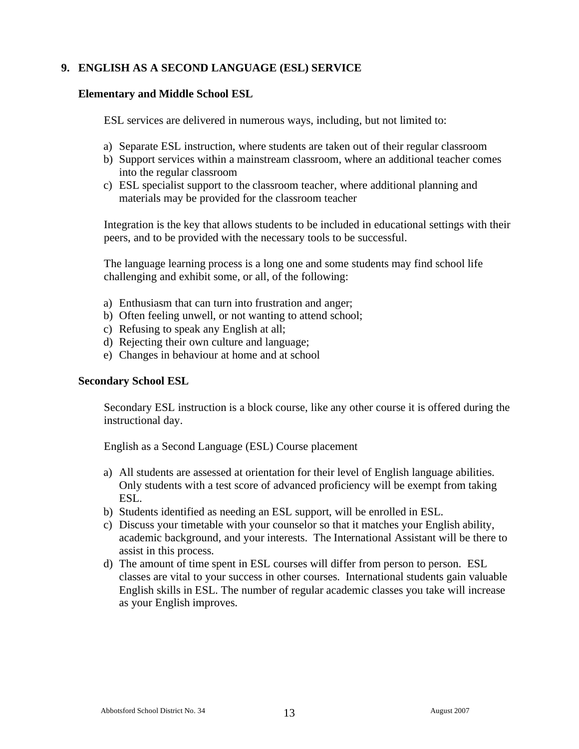# **9. ENGLISH AS A SECOND LANGUAGE (ESL) SERVICE**

#### **Elementary and Middle School ESL**

ESL services are delivered in numerous ways, including, but not limited to:

- a) Separate ESL instruction, where students are taken out of their regular classroom
- b) Support services within a mainstream classroom, where an additional teacher comes into the regular classroom
- c) ESL specialist support to the classroom teacher, where additional planning and materials may be provided for the classroom teacher

Integration is the key that allows students to be included in educational settings with their peers, and to be provided with the necessary tools to be successful.

The language learning process is a long one and some students may find school life challenging and exhibit some, or all, of the following:

- a) Enthusiasm that can turn into frustration and anger;
- b) Often feeling unwell, or not wanting to attend school;
- c) Refusing to speak any English at all;
- d) Rejecting their own culture and language;
- e) Changes in behaviour at home and at school

#### **Secondary School ESL**

Secondary ESL instruction is a block course, like any other course it is offered during the instructional day.

English as a Second Language (ESL) Course placement

- a) All students are assessed at orientation for their level of English language abilities. Only students with a test score of advanced proficiency will be exempt from taking ESL.
- b) Students identified as needing an ESL support, will be enrolled in ESL.
- c) Discuss your timetable with your counselor so that it matches your English ability, academic background, and your interests. The International Assistant will be there to assist in this process.
- d) The amount of time spent in ESL courses will differ from person to person. ESL classes are vital to your success in other courses. International students gain valuable English skills in ESL. The number of regular academic classes you take will increase as your English improves.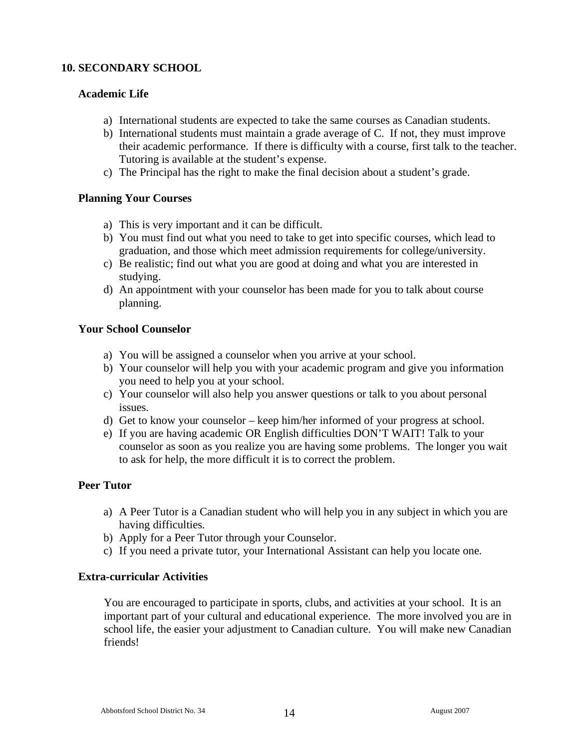# **10. SECONDARY SCHOOL**

#### **Academic Life**

- a) International students are expected to take the same courses as Canadian students.
- b) International students must maintain a grade average of C. If not, they must improve their academic performance. If there is difficulty with a course, first talk to the teacher. Tutoring is available at the student's expense.
- c) The Principal has the right to make the final decision about a student's grade.

#### **Planning Your Courses**

- a) This is very important and it can be difficult.
- b) You must find out what you need to take to get into specific courses, which lead to graduation, and those which meet admission requirements for college/university.
- c) Be realistic; find out what you are good at doing and what you are interested in studying.
- d) An appointment with your counselor has been made for you to talk about course planning.

#### **Your School Counselor**

- a) You will be assigned a counselor when you arrive at your school.
- b) Your counselor will help you with your academic program and give you information you need to help you at your school.
- c) Your counselor will also help you answer questions or talk to you about personal issues.
- d) Get to know your counselor keep him/her informed of your progress at school.
- e) If you are having academic OR English difficulties DON'T WAIT! Talk to your counselor as soon as you realize you are having some problems. The longer you wait to ask for help, the more difficult it is to correct the problem.

# **Peer Tutor**

- a) A Peer Tutor is a Canadian student who will help you in any subject in which you are having difficulties.
- b) Apply for a Peer Tutor through your Counselor.
- c) If you need a private tutor, your International Assistant can help you locate one.

# **Extra-curricular Activities**

You are encouraged to participate in sports, clubs, and activities at your school. It is an important part of your cultural and educational experience. The more involved you are in school life, the easier your adjustment to Canadian culture. You will make new Canadian friends!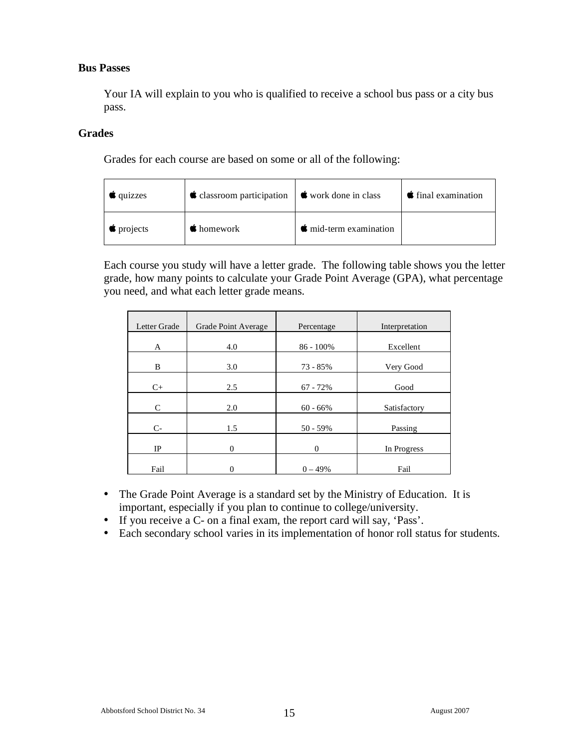#### **Bus Passes**

Your IA will explain to you who is qualified to receive a school bus pass or a city bus pass.

#### **Grades**

Grades for each course are based on some or all of the following:

| $\sqrt{q}$ quizzes | $\bullet$ classroom participation $\bullet$ work done in class |                                | $\bullet$ final examination |
|--------------------|----------------------------------------------------------------|--------------------------------|-----------------------------|
| $\bullet$ projects | $\bullet$ homework                                             | $\bullet$ mid-term examination |                             |

Each course you study will have a letter grade. The following table shows you the letter grade, how many points to calculate your Grade Point Average (GPA), what percentage you need, and what each letter grade means.

| Letter Grade | Grade Point Average | Percentage | Interpretation |
|--------------|---------------------|------------|----------------|
| A            | 4.0                 | 86 - 100%  | Excellent      |
| B            | 3.0                 | 73 - 85%   | Very Good      |
| $C+$         | 2.5                 | $67 - 72%$ | Good           |
| C            | 2.0                 | $60 - 66%$ | Satisfactory   |
| $C-$         | 1.5                 | $50 - 59%$ | Passing        |
| $_{\rm IP}$  | $\overline{0}$      | $\theta$   | In Progress    |
| Fail         | 0                   | $0 - 49%$  | Fail           |

- The Grade Point Average is a standard set by the Ministry of Education. It is important, especially if you plan to continue to college/university.
- If you receive a C- on a final exam, the report card will say, 'Pass'.
- Each secondary school varies in its implementation of honor roll status for students.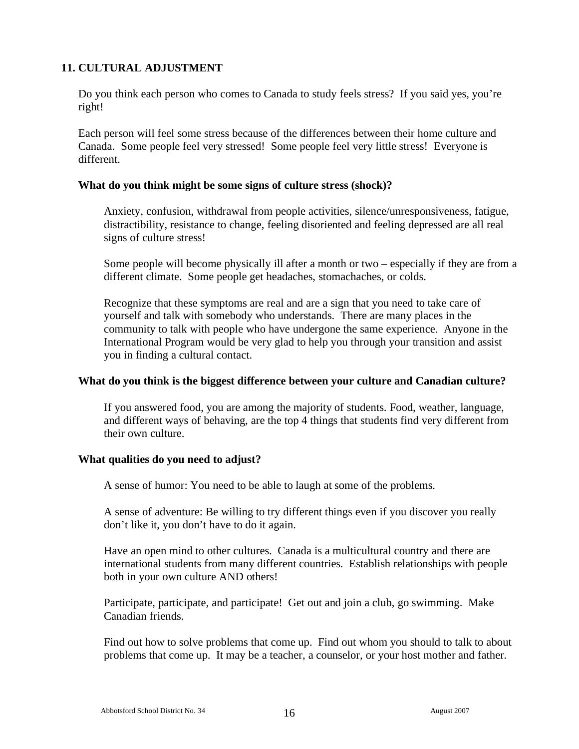# **11. CULTURAL ADJUSTMENT**

Do you think each person who comes to Canada to study feels stress? If you said yes, you're right!

Each person will feel some stress because of the differences between their home culture and Canada. Some people feel very stressed! Some people feel very little stress! Everyone is different.

#### **What do you think might be some signs of culture stress (shock)?**

Anxiety, confusion, withdrawal from people activities, silence/unresponsiveness, fatigue, distractibility, resistance to change, feeling disoriented and feeling depressed are all real signs of culture stress!

Some people will become physically ill after a month or two – especially if they are from a different climate. Some people get headaches, stomachaches, or colds.

Recognize that these symptoms are real and are a sign that you need to take care of yourself and talk with somebody who understands. There are many places in the community to talk with people who have undergone the same experience. Anyone in the International Program would be very glad to help you through your transition and assist you in finding a cultural contact.

#### **What do you think is the biggest difference between your culture and Canadian culture?**

If you answered food, you are among the majority of students. Food, weather, language, and different ways of behaving, are the top 4 things that students find very different from their own culture.

#### **What qualities do you need to adjust?**

A sense of humor: You need to be able to laugh at some of the problems.

A sense of adventure: Be willing to try different things even if you discover you really don't like it, you don't have to do it again.

Have an open mind to other cultures. Canada is a multicultural country and there are international students from many different countries. Establish relationships with people both in your own culture AND others!

Participate, participate, and participate! Get out and join a club, go swimming. Make Canadian friends.

Find out how to solve problems that come up. Find out whom you should to talk to about problems that come up. It may be a teacher, a counselor, or your host mother and father.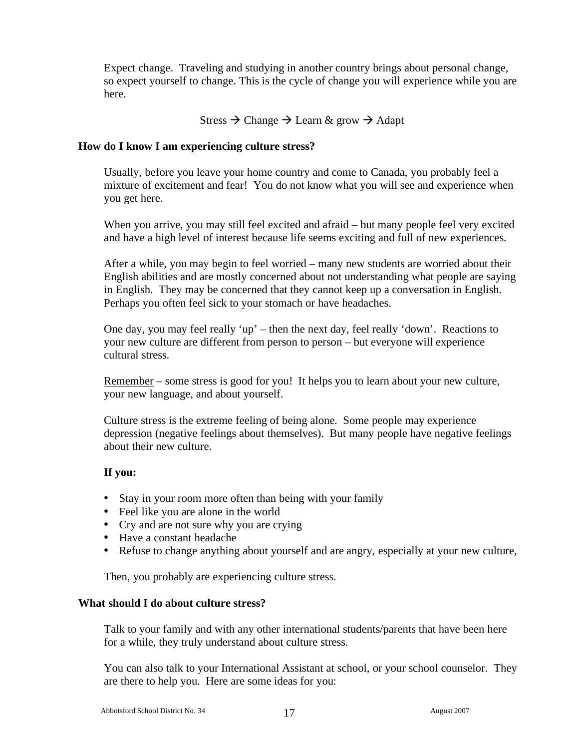Expect change. Traveling and studying in another country brings about personal change, so expect yourself to change. This is the cycle of change you will experience while you are here.

#### Stress  $\rightarrow$  Change  $\rightarrow$  Learn & grow  $\rightarrow$  Adapt

#### **How do I know I am experiencing culture stress?**

Usually, before you leave your home country and come to Canada, you probably feel a mixture of excitement and fear! You do not know what you will see and experience when you get here.

When you arrive, you may still feel excited and afraid – but many people feel very excited and have a high level of interest because life seems exciting and full of new experiences.

After a while, you may begin to feel worried – many new students are worried about their English abilities and are mostly concerned about not understanding what people are saying in English. They may be concerned that they cannot keep up a conversation in English. Perhaps you often feel sick to your stomach or have headaches.

One day, you may feel really 'up' – then the next day, feel really 'down'. Reactions to your new culture are different from person to person – but everyone will experience cultural stress.

Remember – some stress is good for you! It helps you to learn about your new culture, your new language, and about yourself.

Culture stress is the extreme feeling of being alone. Some people may experience depression (negative feelings about themselves). But many people have negative feelings about their new culture.

#### **If you:**

- Stay in your room more often than being with your family
- Feel like you are alone in the world
- Cry and are not sure why you are crying
- Have a constant headache
- Refuse to change anything about yourself and are angry, especially at your new culture,

Then, you probably are experiencing culture stress.

#### **What should I do about culture stress?**

Talk to your family and with any other international students/parents that have been here for a while, they truly understand about culture stress.

You can also talk to your International Assistant at school, or your school counselor. They are there to help you. Here are some ideas for you: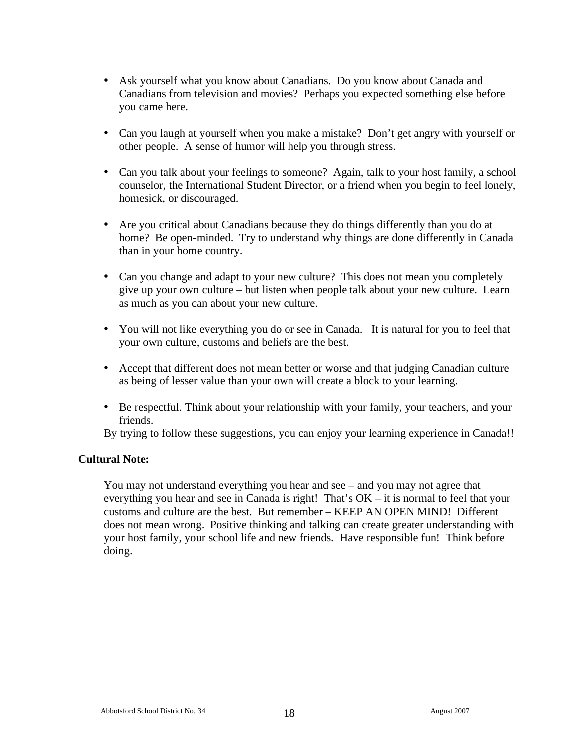- Ask yourself what you know about Canadians. Do you know about Canada and Canadians from television and movies? Perhaps you expected something else before you came here.
- Can you laugh at yourself when you make a mistake? Don't get angry with yourself or other people. A sense of humor will help you through stress.
- Can you talk about your feelings to someone? Again, talk to your host family, a school counselor, the International Student Director, or a friend when you begin to feel lonely, homesick, or discouraged.
- Are you critical about Canadians because they do things differently than you do at home? Be open-minded. Try to understand why things are done differently in Canada than in your home country.
- Can you change and adapt to your new culture? This does not mean you completely give up your own culture – but listen when people talk about your new culture. Learn as much as you can about your new culture.
- You will not like everything you do or see in Canada. It is natural for you to feel that your own culture, customs and beliefs are the best.
- Accept that different does not mean better or worse and that judging Canadian culture as being of lesser value than your own will create a block to your learning.
- Be respectful. Think about your relationship with your family, your teachers, and your friends.

By trying to follow these suggestions, you can enjoy your learning experience in Canada!!

#### **Cultural Note:**

You may not understand everything you hear and see – and you may not agree that everything you hear and see in Canada is right! That's OK – it is normal to feel that your customs and culture are the best. But remember – KEEP AN OPEN MIND! Different does not mean wrong. Positive thinking and talking can create greater understanding with your host family, your school life and new friends. Have responsible fun! Think before doing.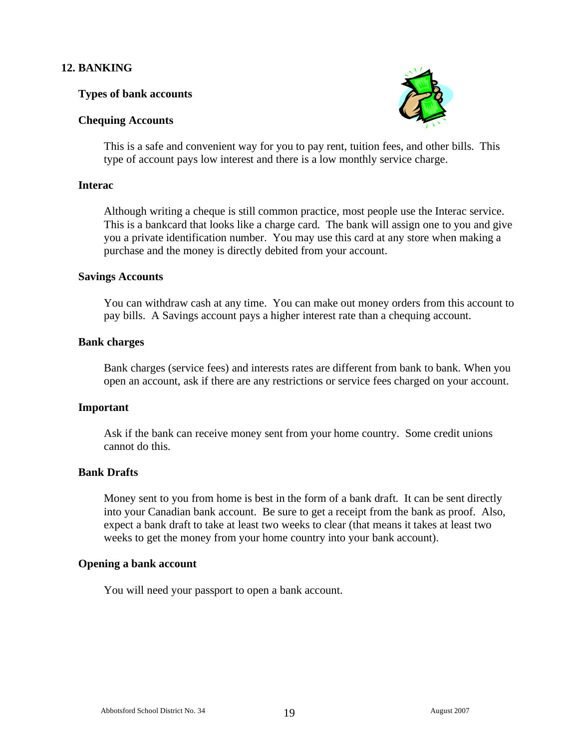# **12. BANKING**

#### **Types of bank accounts**

#### **Chequing Accounts**



This is a safe and convenient way for you to pay rent, tuition fees, and other bills. This type of account pays low interest and there is a low monthly service charge.

#### **Interac**

Although writing a cheque is still common practice, most people use the Interac service. This is a bankcard that looks like a charge card. The bank will assign one to you and give you a private identification number. You may use this card at any store when making a purchase and the money is directly debited from your account.

#### **Savings Accounts**

You can withdraw cash at any time. You can make out money orders from this account to pay bills. A Savings account pays a higher interest rate than a chequing account.

#### **Bank charges**

Bank charges (service fees) and interests rates are different from bank to bank. When you open an account, ask if there are any restrictions or service fees charged on your account.

#### **Important**

Ask if the bank can receive money sent from your home country. Some credit unions cannot do this.

#### **Bank Drafts**

Money sent to you from home is best in the form of a bank draft. It can be sent directly into your Canadian bank account. Be sure to get a receipt from the bank as proof. Also, expect a bank draft to take at least two weeks to clear (that means it takes at least two weeks to get the money from your home country into your bank account).

#### **Opening a bank account**

You will need your passport to open a bank account.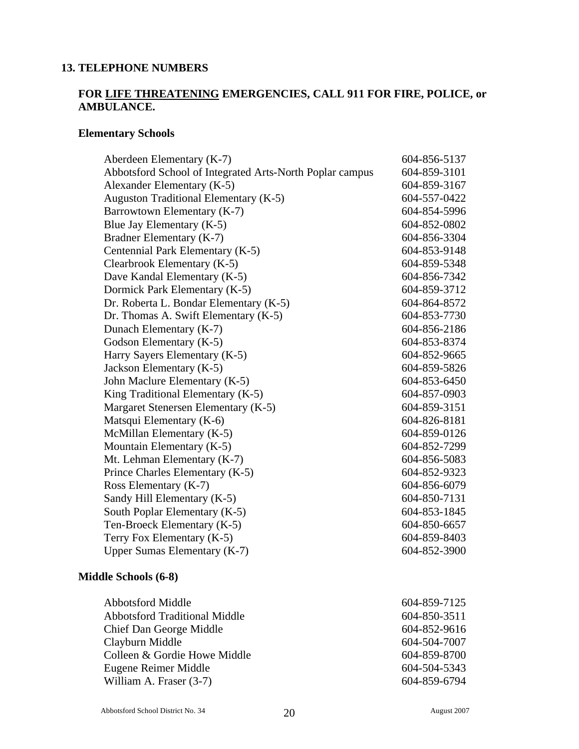#### **13. TELEPHONE NUMBERS**

# **FOR LIFE THREATENING EMERGENCIES, CALL 911 FOR FIRE, POLICE, or AMBULANCE.**

### **Elementary Schools**

| Aberdeen Elementary (K-7)                                | 604-856-5137 |
|----------------------------------------------------------|--------------|
| Abbotsford School of Integrated Arts-North Poplar campus | 604-859-3101 |
| Alexander Elementary (K-5)                               | 604-859-3167 |
| Auguston Traditional Elementary (K-5)                    | 604-557-0422 |
| Barrowtown Elementary (K-7)                              | 604-854-5996 |
| Blue Jay Elementary (K-5)                                | 604-852-0802 |
| Bradner Elementary (K-7)                                 | 604-856-3304 |
| Centennial Park Elementary (K-5)                         | 604-853-9148 |
| Clearbrook Elementary (K-5)                              | 604-859-5348 |
| Dave Kandal Elementary (K-5)                             | 604-856-7342 |
| Dormick Park Elementary (K-5)                            | 604-859-3712 |
| Dr. Roberta L. Bondar Elementary (K-5)                   | 604-864-8572 |
| Dr. Thomas A. Swift Elementary (K-5)                     | 604-853-7730 |
| Dunach Elementary (K-7)                                  | 604-856-2186 |
| Godson Elementary (K-5)                                  | 604-853-8374 |
| Harry Sayers Elementary (K-5)                            | 604-852-9665 |
| Jackson Elementary (K-5)                                 | 604-859-5826 |
| John Maclure Elementary (K-5)                            | 604-853-6450 |
| King Traditional Elementary (K-5)                        | 604-857-0903 |
| Margaret Stenersen Elementary (K-5)                      | 604-859-3151 |
| Matsqui Elementary (K-6)                                 | 604-826-8181 |
| McMillan Elementary (K-5)                                | 604-859-0126 |
| Mountain Elementary (K-5)                                | 604-852-7299 |
| Mt. Lehman Elementary (K-7)                              | 604-856-5083 |
| Prince Charles Elementary (K-5)                          | 604-852-9323 |
| Ross Elementary (K-7)                                    | 604-856-6079 |
| Sandy Hill Elementary (K-5)                              | 604-850-7131 |
| South Poplar Elementary (K-5)                            | 604-853-1845 |
| Ten-Broeck Elementary (K-5)                              | 604-850-6657 |
| Terry Fox Elementary (K-5)                               | 604-859-8403 |
| <b>Upper Sumas Elementary (K-7)</b>                      | 604-852-3900 |
| Middle Schools (6-8)                                     |              |
| <b>Abbotsford Middle</b>                                 | 604-859-7125 |
| <b>Abbotsford Traditional Middle</b>                     | 604-850-3511 |
| Chief Dan George Middle                                  | 604-852-9616 |

Clayburn Middle 604-504-7007 Colleen & Gordie Howe Middle 604-859-8700 Eugene Reimer Middle 604-504-5343 William A. Fraser (3-7) 604-859-6794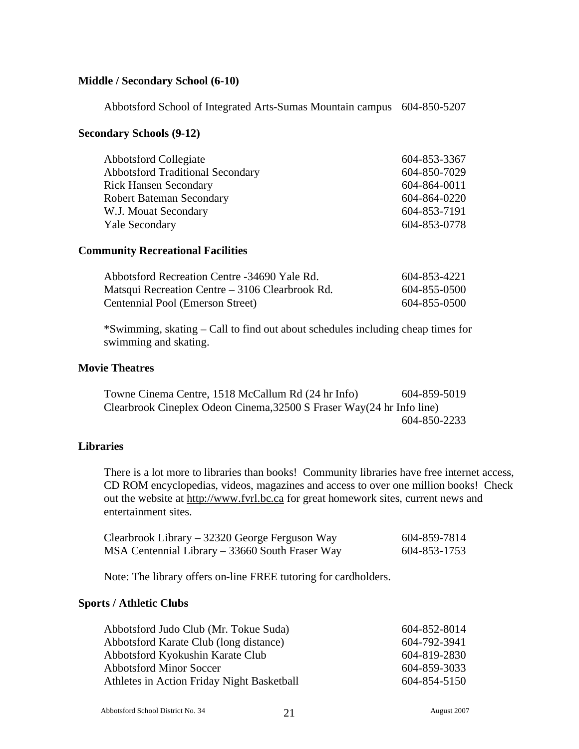#### **Middle / Secondary School (6-10)**

Abbotsford School of Integrated Arts-Sumas Mountain campus 604-850-5207

#### **Secondary Schools (9-12)**

| <b>Abbotsford Collegiate</b>            | 604-853-3367 |
|-----------------------------------------|--------------|
| <b>Abbotsford Traditional Secondary</b> | 604-850-7029 |
| <b>Rick Hansen Secondary</b>            | 604-864-0011 |
| <b>Robert Bateman Secondary</b>         | 604-864-0220 |
| W.J. Mouat Secondary                    | 604-853-7191 |
| <b>Yale Secondary</b>                   | 604-853-0778 |

#### **Community Recreational Facilities**

| Abbotsford Recreation Centre -34690 Yale Rd.    | 604-853-4221 |
|-------------------------------------------------|--------------|
| Matsqui Recreation Centre – 3106 Clearbrook Rd. | 604-855-0500 |
| Centennial Pool (Emerson Street)                | 604-855-0500 |

\*Swimming, skating – Call to find out about schedules including cheap times for swimming and skating.

#### **Movie Theatres**

Towne Cinema Centre, 1518 McCallum Rd (24 hr Info) 604-859-5019 Clearbrook Cineplex Odeon Cinema,32500 S Fraser Way(24 hr Info line) 604-850-2233

#### **Libraries**

There is a lot more to libraries than books! Community libraries have free internet access, CD ROM encyclopedias, videos, magazines and access to over one million books! Check out the website at http://www.fvrl.bc.ca for great homework sites, current news and entertainment sites.

| Clearbrook Library – 32320 George Ferguson Way  | 604-859-7814 |
|-------------------------------------------------|--------------|
| MSA Centennial Library – 33660 South Fraser Way | 604-853-1753 |

Note: The library offers on-line FREE tutoring for cardholders.

#### **Sports / Athletic Clubs**

| Abbotsford Judo Club (Mr. Tokue Suda)      | 604-852-8014 |
|--------------------------------------------|--------------|
| Abbotsford Karate Club (long distance)     | 604-792-3941 |
| Abbotsford Kyokushin Karate Club           | 604-819-2830 |
| <b>Abbotsford Minor Soccer</b>             | 604-859-3033 |
| Athletes in Action Friday Night Basketball | 604-854-5150 |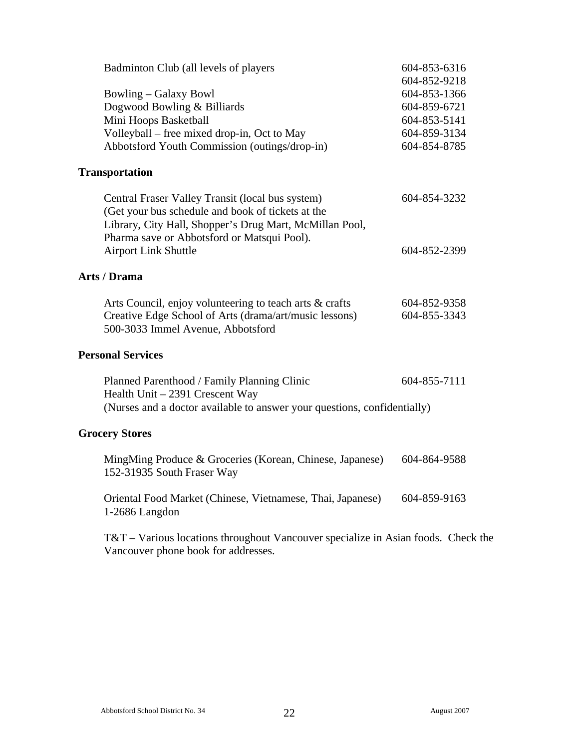| Badminton Club (all levels of players                                                                                                                                                                           | 604-853-6316<br>604-852-9218                                                 |  |  |  |  |
|-----------------------------------------------------------------------------------------------------------------------------------------------------------------------------------------------------------------|------------------------------------------------------------------------------|--|--|--|--|
| <b>Bowling – Galaxy Bowl</b><br>Dogwood Bowling & Billiards<br>Mini Hoops Basketball<br>Volleyball – free mixed drop-in, Oct to May<br>Abbotsford Youth Commission (outings/drop-in)                            | 604-853-1366<br>604-859-6721<br>604-853-5141<br>604-859-3134<br>604-854-8785 |  |  |  |  |
| <b>Transportation</b>                                                                                                                                                                                           |                                                                              |  |  |  |  |
| Central Fraser Valley Transit (local bus system)<br>(Get your bus schedule and book of tickets at the<br>Library, City Hall, Shopper's Drug Mart, McMillan Pool,<br>Pharma save or Abbotsford or Matsqui Pool). | 604-854-3232                                                                 |  |  |  |  |
| <b>Airport Link Shuttle</b>                                                                                                                                                                                     | 604-852-2399                                                                 |  |  |  |  |
| <b>Arts / Drama</b>                                                                                                                                                                                             |                                                                              |  |  |  |  |
| Arts Council, enjoy volunteering to teach arts & crafts<br>Creative Edge School of Arts (drama/art/music lessons)<br>500-3033 Immel Avenue, Abbotsford                                                          | 604-852-9358<br>604-855-3343                                                 |  |  |  |  |
| <b>Personal Services</b>                                                                                                                                                                                        |                                                                              |  |  |  |  |
| Planned Parenthood / Family Planning Clinic<br>Health Unit - 2391 Crescent Way<br>(Nurses and a doctor available to answer your questions, confidentially)                                                      | 604-855-7111                                                                 |  |  |  |  |
| <b>Grocery Stores</b>                                                                                                                                                                                           |                                                                              |  |  |  |  |
| MingMing Produce & Groceries (Korean, Chinese, Japanese)<br>152-31935 South Fraser Way                                                                                                                          | 604-864-9588                                                                 |  |  |  |  |
| Oriental Food Market (Chinese, Vietnamese, Thai, Japanese)<br>1-2686 Langdon                                                                                                                                    | 604-859-9163                                                                 |  |  |  |  |

T&T – Various locations throughout Vancouver specialize in Asian foods. Check the Vancouver phone book for addresses.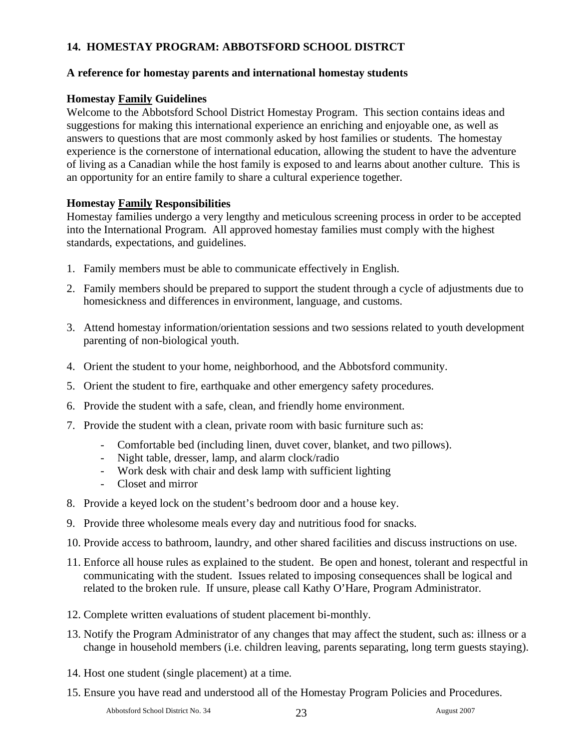# **14. HOMESTAY PROGRAM: ABBOTSFORD SCHOOL DISTRCT**

#### **A reference for homestay parents and international homestay students**

# **Homestay Family Guidelines**

Welcome to the Abbotsford School District Homestay Program. This section contains ideas and suggestions for making this international experience an enriching and enjoyable one, as well as answers to questions that are most commonly asked by host families or students. The homestay experience is the cornerstone of international education, allowing the student to have the adventure of living as a Canadian while the host family is exposed to and learns about another culture. This is an opportunity for an entire family to share a cultural experience together.

#### **Homestay Family Responsibilities**

Homestay families undergo a very lengthy and meticulous screening process in order to be accepted into the International Program. All approved homestay families must comply with the highest standards, expectations, and guidelines.

- 1. Family members must be able to communicate effectively in English.
- 2. Family members should be prepared to support the student through a cycle of adjustments due to homesickness and differences in environment, language, and customs.
- 3. Attend homestay information/orientation sessions and two sessions related to youth development parenting of non-biological youth.
- 4. Orient the student to your home, neighborhood, and the Abbotsford community.
- 5. Orient the student to fire, earthquake and other emergency safety procedures.
- 6. Provide the student with a safe, clean, and friendly home environment.
- 7. Provide the student with a clean, private room with basic furniture such as:
	- Comfortable bed (including linen, duvet cover, blanket, and two pillows).
	- Night table, dresser, lamp, and alarm clock/radio
	- Work desk with chair and desk lamp with sufficient lighting
	- Closet and mirror
- 8. Provide a keyed lock on the student's bedroom door and a house key.
- 9. Provide three wholesome meals every day and nutritious food for snacks.
- 10. Provide access to bathroom, laundry, and other shared facilities and discuss instructions on use.
- 11. Enforce all house rules as explained to the student. Be open and honest, tolerant and respectful in communicating with the student. Issues related to imposing consequences shall be logical and related to the broken rule. If unsure, please call Kathy O'Hare, Program Administrator.
- 12. Complete written evaluations of student placement bi-monthly.
- 13. Notify the Program Administrator of any changes that may affect the student, such as: illness or a change in household members (i.e. children leaving, parents separating, long term guests staying).
- 14. Host one student (single placement) at a time.
- 15. Ensure you have read and understood all of the Homestay Program Policies and Procedures.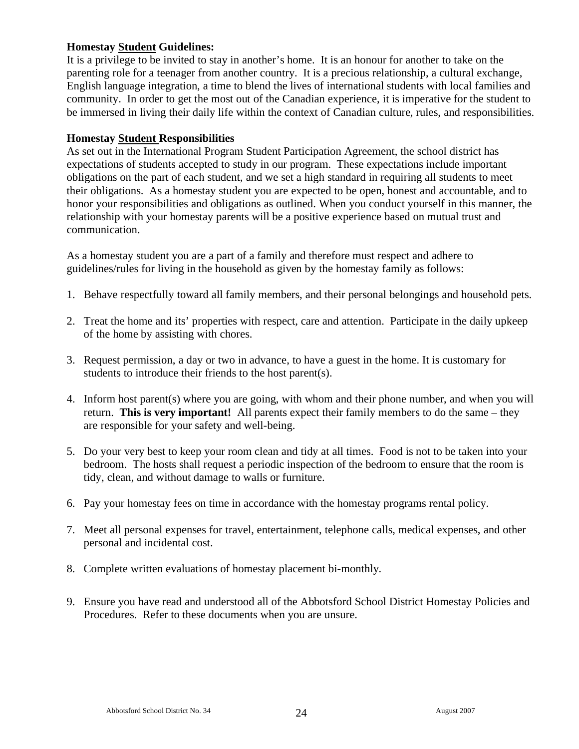### **Homestay Student Guidelines:**

It is a privilege to be invited to stay in another's home. It is an honour for another to take on the parenting role for a teenager from another country. It is a precious relationship, a cultural exchange, English language integration, a time to blend the lives of international students with local families and community. In order to get the most out of the Canadian experience, it is imperative for the student to be immersed in living their daily life within the context of Canadian culture, rules, and responsibilities.

#### **Homestay Student Responsibilities**

As set out in the International Program Student Participation Agreement, the school district has expectations of students accepted to study in our program. These expectations include important obligations on the part of each student, and we set a high standard in requiring all students to meet their obligations. As a homestay student you are expected to be open, honest and accountable, and to honor your responsibilities and obligations as outlined. When you conduct yourself in this manner, the relationship with your homestay parents will be a positive experience based on mutual trust and communication.

As a homestay student you are a part of a family and therefore must respect and adhere to guidelines/rules for living in the household as given by the homestay family as follows:

- 1. Behave respectfully toward all family members, and their personal belongings and household pets.
- 2. Treat the home and its' properties with respect, care and attention. Participate in the daily upkeep of the home by assisting with chores.
- 3. Request permission, a day or two in advance, to have a guest in the home. It is customary for students to introduce their friends to the host parent(s).
- 4. Inform host parent(s) where you are going, with whom and their phone number, and when you will return. **This is very important!** All parents expect their family members to do the same – they are responsible for your safety and well-being.
- 5. Do your very best to keep your room clean and tidy at all times. Food is not to be taken into your bedroom. The hosts shall request a periodic inspection of the bedroom to ensure that the room is tidy, clean, and without damage to walls or furniture.
- 6. Pay your homestay fees on time in accordance with the homestay programs rental policy.
- 7. Meet all personal expenses for travel, entertainment, telephone calls, medical expenses, and other personal and incidental cost.
- 8. Complete written evaluations of homestay placement bi-monthly.
- 9. Ensure you have read and understood all of the Abbotsford School District Homestay Policies and Procedures. Refer to these documents when you are unsure.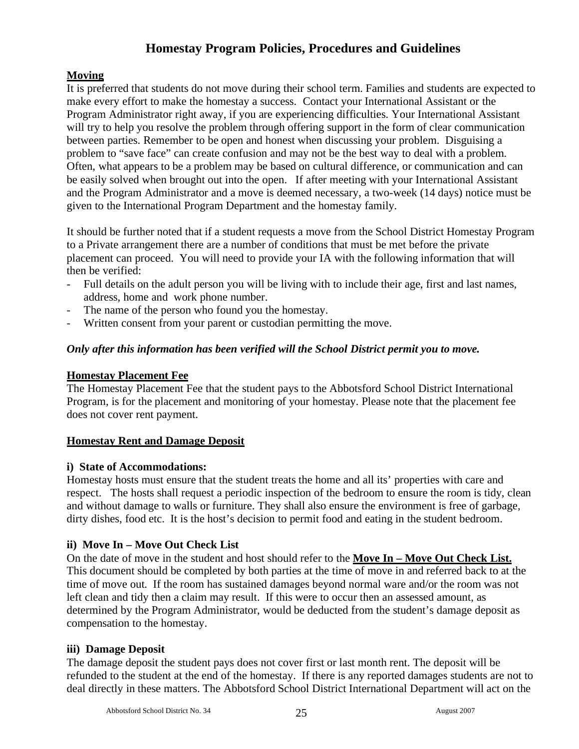# **Homestay Program Policies, Procedures and Guidelines**

# **Moving**

It is preferred that students do not move during their school term. Families and students are expected to make every effort to make the homestay a success. Contact your International Assistant or the Program Administrator right away, if you are experiencing difficulties. Your International Assistant will try to help you resolve the problem through offering support in the form of clear communication between parties. Remember to be open and honest when discussing your problem. Disguising a problem to "save face" can create confusion and may not be the best way to deal with a problem. Often, what appears to be a problem may be based on cultural difference, or communication and can be easily solved when brought out into the open. If after meeting with your International Assistant and the Program Administrator and a move is deemed necessary, a two-week (14 days) notice must be given to the International Program Department and the homestay family.

It should be further noted that if a student requests a move from the School District Homestay Program to a Private arrangement there are a number of conditions that must be met before the private placement can proceed. You will need to provide your IA with the following information that will then be verified:

- Full details on the adult person you will be living with to include their age, first and last names, address, home and work phone number.
- The name of the person who found you the homestay.
- Written consent from your parent or custodian permitting the move.

#### *Only after this information has been verified will the School District permit you to move.*

#### **Homestay Placement Fee**

The Homestay Placement Fee that the student pays to the Abbotsford School District International Program, is for the placement and monitoring of your homestay. Please note that the placement fee does not cover rent payment.

#### **Homestay Rent and Damage Deposit**

#### **i) State of Accommodations:**

Homestay hosts must ensure that the student treats the home and all its' properties with care and respect. The hosts shall request a periodic inspection of the bedroom to ensure the room is tidy, clean and without damage to walls or furniture. They shall also ensure the environment is free of garbage, dirty dishes, food etc. It is the host's decision to permit food and eating in the student bedroom.

#### **ii) Move In – Move Out Check List**

On the date of move in the student and host should refer to the **Move In – Move Out Check List.** This document should be completed by both parties at the time of move in and referred back to at the time of move out. If the room has sustained damages beyond normal ware and/or the room was not left clean and tidy then a claim may result. If this were to occur then an assessed amount, as determined by the Program Administrator, would be deducted from the student's damage deposit as compensation to the homestay.

#### **iii) Damage Deposit**

The damage deposit the student pays does not cover first or last month rent. The deposit will be refunded to the student at the end of the homestay. If there is any reported damages students are not to deal directly in these matters. The Abbotsford School District International Department will act on the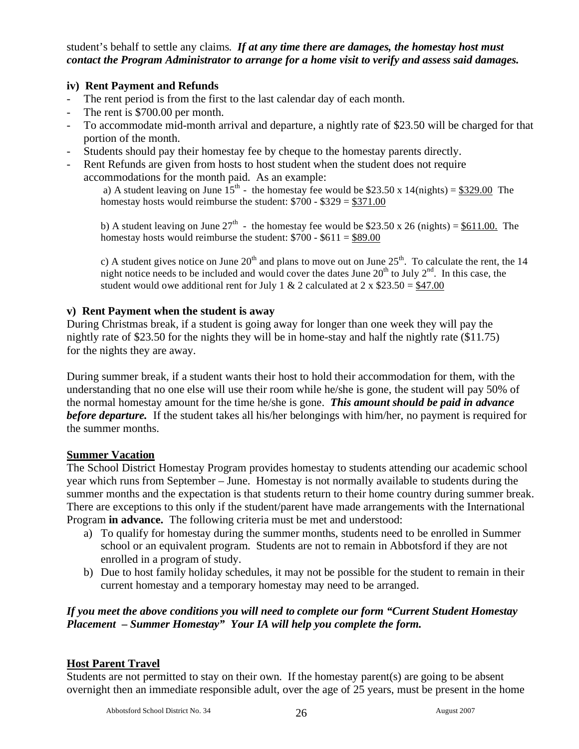student's behalf to settle any claims. *If at any time there are damages, the homestay host must contact the Program Administrator to arrange for a home visit to verify and assess said damages.* 

# **iv) Rent Payment and Refunds**

- The rent period is from the first to the last calendar day of each month.
- The rent is \$700.00 per month.
- To accommodate mid-month arrival and departure, a nightly rate of \$23.50 will be charged for that portion of the month.
- Students should pay their homestay fee by cheque to the homestay parents directly.
- Rent Refunds are given from hosts to host student when the student does not require accommodations for the month paid. As an example:

a) A student leaving on June  $15^{th}$  - the homestay fee would be \$23.50 x 14(nights) = \$329.00 The homestay hosts would reimburse the student:  $$700 - $329 = $371.00$ 

b) A student leaving on June  $27<sup>th</sup>$  - the homestay fee would be \$23.50 x 26 (nights) = \$611.00. The homestay hosts would reimburse the student:  $$700 - $611 = $89.00$ 

c) A student gives notice on June  $20^{th}$  and plans to move out on June  $25^{th}$ . To calculate the rent, the 14 night notice needs to be included and would cover the dates June  $20^{th}$  to July  $2^{nd}$ . In this case, the student would owe additional rent for July 1 & 2 calculated at  $2 \times $23.50 = $47.00$ 

#### **v) Rent Payment when the student is away**

During Christmas break, if a student is going away for longer than one week they will pay the nightly rate of \$23.50 for the nights they will be in home-stay and half the nightly rate (\$11.75) for the nights they are away.

During summer break, if a student wants their host to hold their accommodation for them, with the understanding that no one else will use their room while he/she is gone, the student will pay 50% of the normal homestay amount for the time he/she is gone. *This amount should be paid in advance before departure.* If the student takes all his/her belongings with him/her, no payment is required for the summer months.

#### **Summer Vacation**

The School District Homestay Program provides homestay to students attending our academic school year which runs from September – June. Homestay is not normally available to students during the summer months and the expectation is that students return to their home country during summer break. There are exceptions to this only if the student/parent have made arrangements with the International Program **in advance.** The following criteria must be met and understood:

- a) To qualify for homestay during the summer months, students need to be enrolled in Summer school or an equivalent program. Students are not to remain in Abbotsford if they are not enrolled in a program of study.
- b) Due to host family holiday schedules, it may not be possible for the student to remain in their current homestay and a temporary homestay may need to be arranged.

# *If you meet the above conditions you will need to complete our form "Current Student Homestay Placement – Summer Homestay" Your IA will help you complete the form.*

# **Host Parent Travel**

Students are not permitted to stay on their own. If the homestay parent(s) are going to be absent overnight then an immediate responsible adult, over the age of 25 years, must be present in the home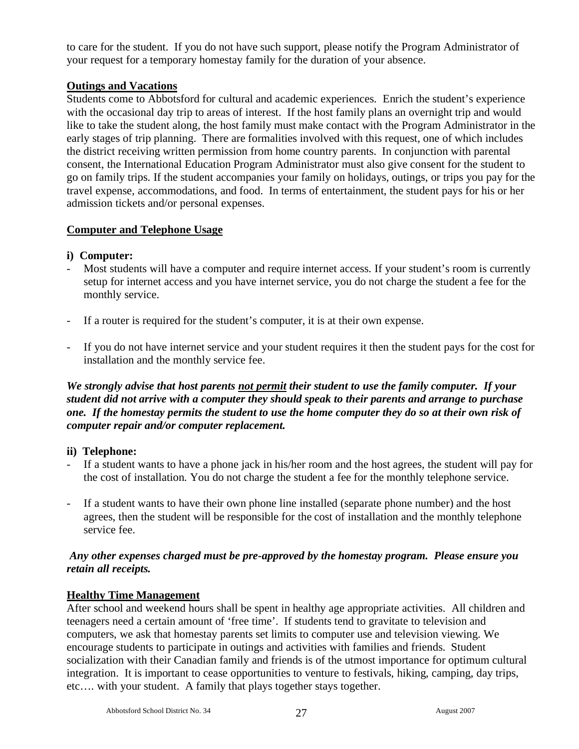to care for the student. If you do not have such support, please notify the Program Administrator of your request for a temporary homestay family for the duration of your absence.

# **Outings and Vacations**

Students come to Abbotsford for cultural and academic experiences. Enrich the student's experience with the occasional day trip to areas of interest. If the host family plans an overnight trip and would like to take the student along, the host family must make contact with the Program Administrator in the early stages of trip planning. There are formalities involved with this request, one of which includes the district receiving written permission from home country parents. In conjunction with parental consent, the International Education Program Administrator must also give consent for the student to go on family trips. If the student accompanies your family on holidays, outings, or trips you pay for the travel expense, accommodations, and food. In terms of entertainment, the student pays for his or her admission tickets and/or personal expenses.

# **Computer and Telephone Usage**

# **i) Computer:**

- Most students will have a computer and require internet access. If your student's room is currently setup for internet access and you have internet service, you do not charge the student a fee for the monthly service.
- If a router is required for the student's computer, it is at their own expense.
- If you do not have internet service and your student requires it then the student pays for the cost for installation and the monthly service fee.

*We strongly advise that host parents not permit their student to use the family computer. If your student did not arrive with a computer they should speak to their parents and arrange to purchase one. If the homestay permits the student to use the home computer they do so at their own risk of computer repair and/or computer replacement.* 

# **ii) Telephone:**

- If a student wants to have a phone jack in his/her room and the host agrees, the student will pay for the cost of installation. You do not charge the student a fee for the monthly telephone service.
- If a student wants to have their own phone line installed (separate phone number) and the host agrees, then the student will be responsible for the cost of installation and the monthly telephone service fee.

# *Any other expenses charged must be pre-approved by the homestay program. Please ensure you retain all receipts.*

# **Healthy Time Management**

After school and weekend hours shall be spent in healthy age appropriate activities. All children and teenagers need a certain amount of 'free time'. If students tend to gravitate to television and computers, we ask that homestay parents set limits to computer use and television viewing. We encourage students to participate in outings and activities with families and friends. Student socialization with their Canadian family and friends is of the utmost importance for optimum cultural integration. It is important to cease opportunities to venture to festivals, hiking, camping, day trips, etc…. with your student. A family that plays together stays together.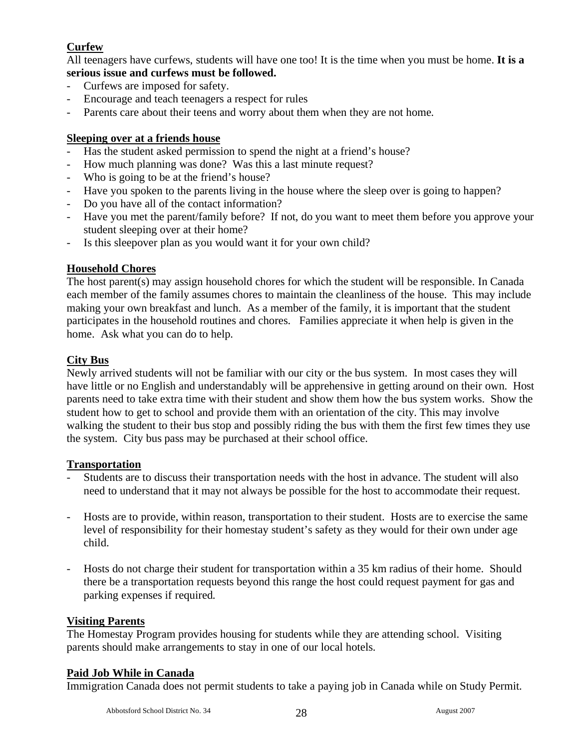# **Curfew**

All teenagers have curfews, students will have one too! It is the time when you must be home. **It is a serious issue and curfews must be followed.**

- Curfews are imposed for safety.
- Encourage and teach teenagers a respect for rules
- Parents care about their teens and worry about them when they are not home.

# **Sleeping over at a friends house**

- Has the student asked permission to spend the night at a friend's house?
- How much planning was done? Was this a last minute request?
- Who is going to be at the friend's house?
- Have you spoken to the parents living in the house where the sleep over is going to happen?
- Do you have all of the contact information?
- Have you met the parent/family before? If not, do you want to meet them before you approve your student sleeping over at their home?
- Is this sleepover plan as you would want it for your own child?

# **Household Chores**

The host parent(s) may assign household chores for which the student will be responsible. In Canada each member of the family assumes chores to maintain the cleanliness of the house. This may include making your own breakfast and lunch. As a member of the family, it is important that the student participates in the household routines and chores. Families appreciate it when help is given in the home. Ask what you can do to help.

# **City Bus**

Newly arrived students will not be familiar with our city or the bus system. In most cases they will have little or no English and understandably will be apprehensive in getting around on their own. Host parents need to take extra time with their student and show them how the bus system works. Show the student how to get to school and provide them with an orientation of the city. This may involve walking the student to their bus stop and possibly riding the bus with them the first few times they use the system. City bus pass may be purchased at their school office.

# **Transportation**

- Students are to discuss their transportation needs with the host in advance. The student will also need to understand that it may not always be possible for the host to accommodate their request.
- Hosts are to provide, within reason, transportation to their student. Hosts are to exercise the same level of responsibility for their homestay student's safety as they would for their own under age child.
- Hosts do not charge their student for transportation within a 35 km radius of their home. Should there be a transportation requests beyond this range the host could request payment for gas and parking expenses if required.

# **Visiting Parents**

The Homestay Program provides housing for students while they are attending school. Visiting parents should make arrangements to stay in one of our local hotels.

# **Paid Job While in Canada**

Immigration Canada does not permit students to take a paying job in Canada while on Study Permit.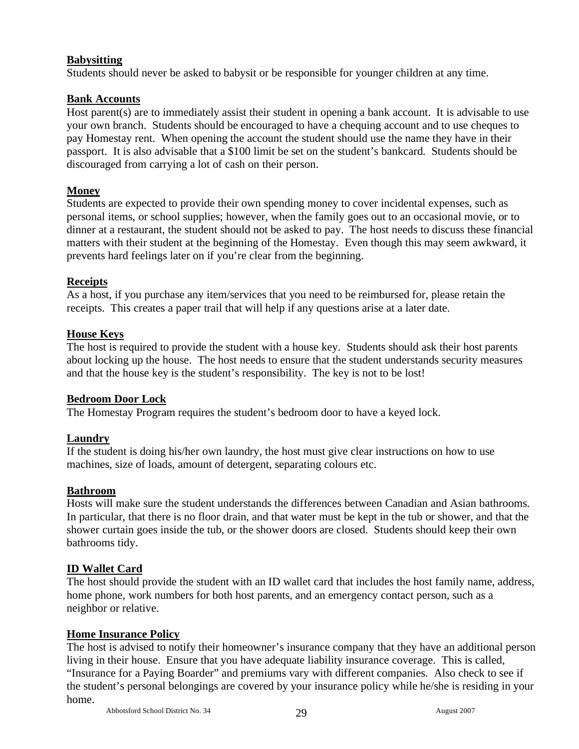# **Babysitting**

Students should never be asked to babysit or be responsible for younger children at any time.

# **Bank Accounts**

Host parent(s) are to immediately assist their student in opening a bank account. It is advisable to use your own branch. Students should be encouraged to have a chequing account and to use cheques to pay Homestay rent. When opening the account the student should use the name they have in their passport. It is also advisable that a \$100 limit be set on the student's bankcard. Students should be discouraged from carrying a lot of cash on their person.

# **Money**

Students are expected to provide their own spending money to cover incidental expenses, such as personal items, or school supplies; however, when the family goes out to an occasional movie, or to dinner at a restaurant, the student should not be asked to pay. The host needs to discuss these financial matters with their student at the beginning of the Homestay. Even though this may seem awkward, it prevents hard feelings later on if you're clear from the beginning.

# **Receipts**

As a host, if you purchase any item/services that you need to be reimbursed for, please retain the receipts. This creates a paper trail that will help if any questions arise at a later date.

# **House Keys**

The host is required to provide the student with a house key. Students should ask their host parents about locking up the house. The host needs to ensure that the student understands security measures and that the house key is the student's responsibility. The key is not to be lost!

# **Bedroom Door Lock**

The Homestay Program requires the student's bedroom door to have a keyed lock.

# **Laundry**

If the student is doing his/her own laundry, the host must give clear instructions on how to use machines, size of loads, amount of detergent, separating colours etc.

# **Bathroom**

Hosts will make sure the student understands the differences between Canadian and Asian bathrooms. In particular, that there is no floor drain, and that water must be kept in the tub or shower, and that the shower curtain goes inside the tub, or the shower doors are closed. Students should keep their own bathrooms tidy.

# **ID Wallet Card**

The host should provide the student with an ID wallet card that includes the host family name, address, home phone, work numbers for both host parents, and an emergency contact person, such as a neighbor or relative.

# **Home Insurance Policy**

The host is advised to notify their homeowner's insurance company that they have an additional person living in their house. Ensure that you have adequate liability insurance coverage. This is called, "Insurance for a Paying Boarder" and premiums vary with different companies. Also check to see if the student's personal belongings are covered by your insurance policy while he/she is residing in your home.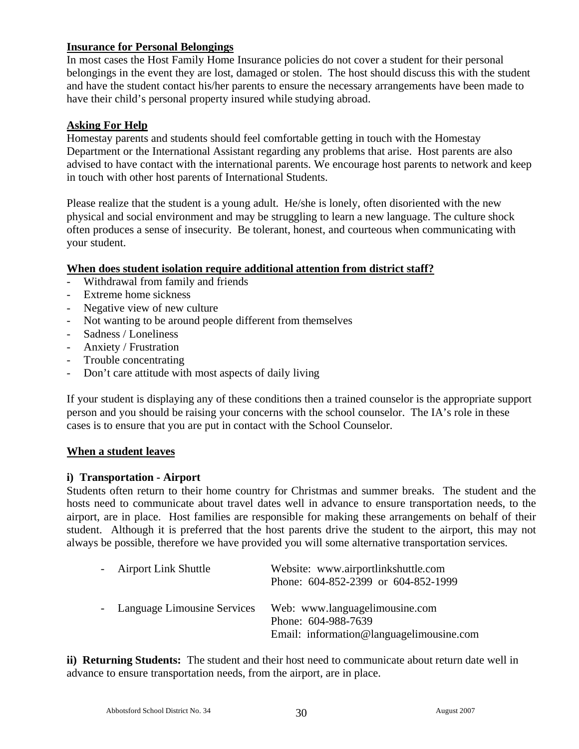# **Insurance for Personal Belongings**

In most cases the Host Family Home Insurance policies do not cover a student for their personal belongings in the event they are lost, damaged or stolen. The host should discuss this with the student and have the student contact his/her parents to ensure the necessary arrangements have been made to have their child's personal property insured while studying abroad.

#### **Asking For Help**

Homestay parents and students should feel comfortable getting in touch with the Homestay Department or the International Assistant regarding any problems that arise. Host parents are also advised to have contact with the international parents. We encourage host parents to network and keep in touch with other host parents of International Students.

Please realize that the student is a young adult. He/she is lonely, often disoriented with the new physical and social environment and may be struggling to learn a new language. The culture shock often produces a sense of insecurity. Be tolerant, honest, and courteous when communicating with your student.

#### **When does student isolation require additional attention from district staff?**

- Withdrawal from family and friends
- Extreme home sickness
- Negative view of new culture
- Not wanting to be around people different from themselves
- Sadness / Loneliness
- Anxiety / Frustration
- Trouble concentrating
- Don't care attitude with most aspects of daily living

If your student is displaying any of these conditions then a trained counselor is the appropriate support person and you should be raising your concerns with the school counselor. The IA's role in these cases is to ensure that you are put in contact with the School Counselor.

#### **When a student leaves**

#### **i) Transportation - Airport**

Students often return to their home country for Christmas and summer breaks. The student and the hosts need to communicate about travel dates well in advance to ensure transportation needs, to the airport, are in place. Host families are responsible for making these arrangements on behalf of their student. Although it is preferred that the host parents drive the student to the airport, this may not always be possible, therefore we have provided you will some alternative transportation services.

| - Airport Link Shuttle        | Website: www.airportlinkshuttle.com<br>Phone: 604-852-2399 or 604-852-1999                        |
|-------------------------------|---------------------------------------------------------------------------------------------------|
| - Language Limousine Services | Web: www.languagelimousine.com<br>Phone: 604-988-7639<br>Email: information@languagelimousine.com |

**ii) Returning Students:** The student and their host need to communicate about return date well in advance to ensure transportation needs, from the airport, are in place.